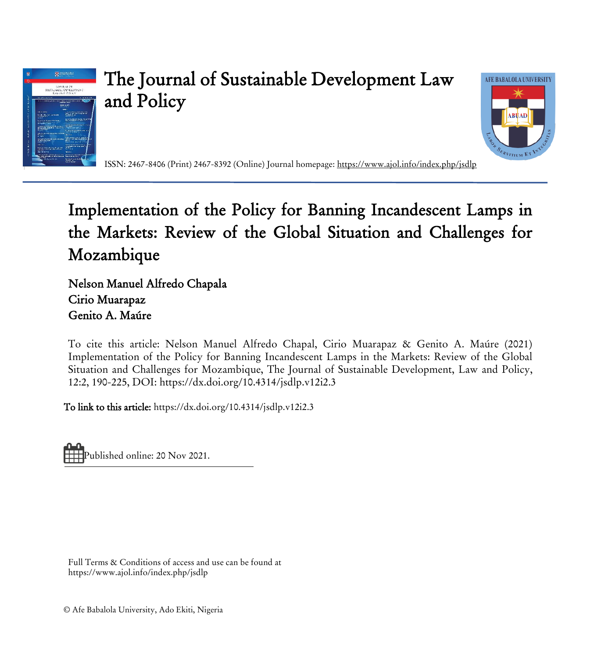

# The Journal of Sustainable Development Law and Policy



ISSN: 2467-8406 (Print) 2467-8392 (Online) Journal homepage:<https://www.ajol.info/index.php/jsdlp>

# Implementation of the Policy for Banning Incandescent Lamps in the Markets: Review of the Global Situation and Challenges for Mozambique

Nelson Manuel Alfredo Chapala Cirio Muarapaz Genito A. Maúre

To cite this article: Nelson Manuel Alfredo Chapal, Cirio Muarapaz & Genito A. Maúre (2021) Implementation of the Policy for Banning Incandescent Lamps in the Markets: Review of the Global Situation and Challenges for Mozambique, The Journal of Sustainable Development, Law and Policy, 12:2, 190-225, DOI: <https://dx.doi.org/10.4314/jsdlp.v12i2.3>

To link to this article:<https://dx.doi.org/10.4314/jsdlp.v12i2.3>

Published online: 20 Nov 2021.

Full Terms & Conditions of access and use can be found at https://www.ajol.info/index.php/jsdlp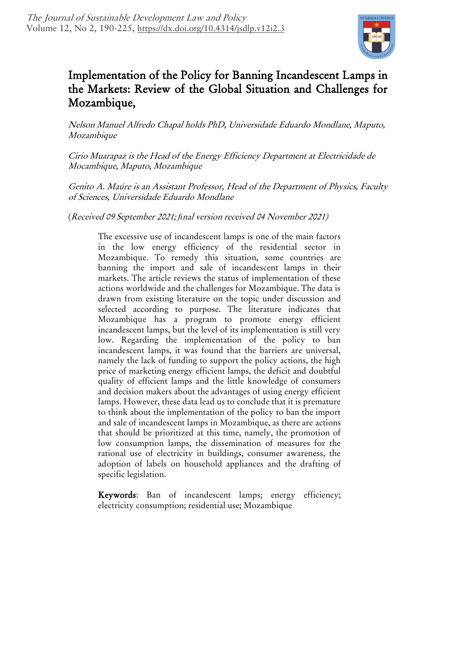

# Implementation of the Policy for Banning Incandescent Lamps in the Markets: Review of the Global Situation and Challenges for Mozambique,

Nelson Manuel Alfredo Chapal holds PhD, Universidade Eduardo Mondlane, Maputo, Mozambique

Cirio Muarapaz is the Head of the Energy Efficiency Department at Electricidade de Mocambique, Maputo, Mozambique

Genito A. Maúre is an Assistant Professor, Head of the Department of Physics, Faculty of Sciences, Universidade Eduardo Mondlane

(Received 09 September 2021; *fi*nal version received 04 November 2021)

The excessive use of incandescent lamps is one of the main factors in the low energy efficiency of the residential sector in Mozambique. To remedy this situation, some countries are banning the import and sale of incandescent lamps in their markets. The article reviews the status of implementation of these actions worldwide and the challenges for Mozambique. The data is drawn from existing literature on the topic under discussion and selected according to purpose. The literature indicates that Mozambique has a program to promote energy efficient incandescent lamps, but the level of its implementation is still very low. Regarding the implementation of the policy to ban incandescent lamps, it was found that the barriers are universal, namely the lack of funding to support the policy actions, the high price of marketing energy efficient lamps, the deficit and doubtful quality of efficient lamps and the little knowledge of consumers and decision makers about the advantages of using energy efficient lamps. However, these data lead us to conclude that it is premature to think about the implementation of the policy to ban the import and sale of incandescent lamps in Mozambique, as there are actions that should be prioritized at this time, namely, the promotion of low consumption lamps, the dissemination of measures for the rational use of electricity in buildings, consumer awareness, the adoption of labels on household appliances and the drafting of specific legislation.

Keywords: Ban of incandescent lamps; energy efficiency; electricity consumption; residential use; Mozambique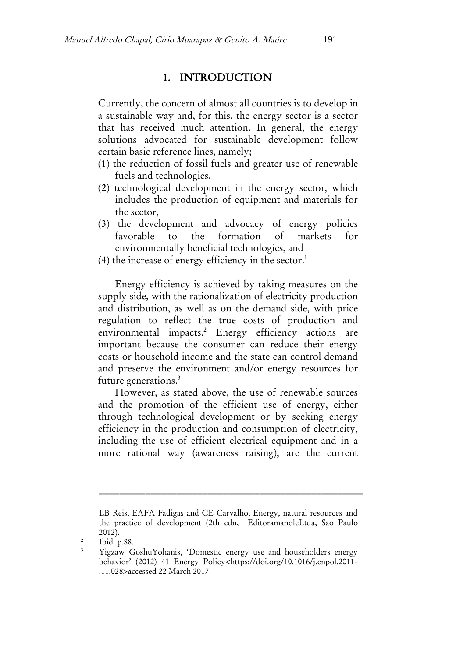## 1. INTRODUCTION

Currently, the concern of almost all countries is to develop in a sustainable way and, for this, the energy sector is a sector that has received much attention. In general, the energy solutions advocated for sustainable development follow certain basic reference lines, namely;

- (1) the reduction of fossil fuels and greater use of renewable fuels and technologies,
- (2) technological development in the energy sector, which includes the production of equipment and materials for the sector,
- (3) the development and advocacy of energy policies favorable to the formation of markets for environmentally beneficial technologies, and
- $(4)$  the increase of energy efficiency in the sector.<sup>1</sup>

Energy efficiency is achieved by taking measures on the supply side, with the rationalization of electricity production and distribution, as well as on the demand side, with price regulation to reflect the true costs of production and environmental impacts.<sup>2</sup> Energy efficiency actions are important because the consumer can reduce their energy costs or household income and the state can control demand and preserve the environment and/or energy resources for future generations.<sup>3</sup>

However, as stated above, the use of renewable sources and the promotion of the efficient use of energy, either through technological development or by seeking energy efficiency in the production and consumption of electricity, including the use of efficient electrical equipment and in a more rational way (awareness raising), are the current

<sup>&</sup>lt;sup>1</sup> LB Reis, EAFA Fadigas and CE Carvalho, Energy, natural resources and the practice of development (2th edn, EditoramanoleLtda, Sao Paulo 2012).

<sup>2</sup> Ibid. p.88.

<sup>3</sup> [Yigzaw GoshuYohanis](https://www.sciencedirect.com/science/article/abs/pii/S0301421511009050?via%3Dihub#!), 'Domestic energy use and householders energy behavior' (2012) 41 Energy Policy<https://doi.org/10.1016/j.enpol.2011- .11.028>accessed 22 March 2017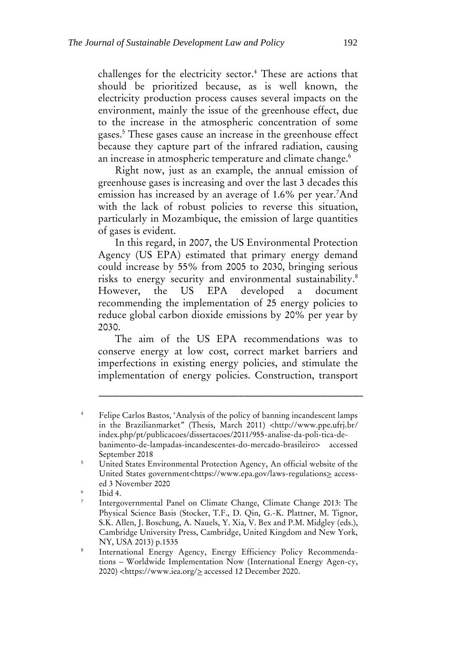challenges for the electricity sector.<sup>4</sup> These are actions that should be prioritized because, as is well known, the electricity production process causes several impacts on the environment, mainly the issue of the greenhouse effect, due to the increase in the atmospheric concentration of some gases.<sup>5</sup> These gases cause an increase in the greenhouse effect because they capture part of the infrared radiation, causing an increase in atmospheric temperature and climate change.<sup>6</sup>

Right now, just as an example, the annual emission of greenhouse gases is increasing and over the last 3 decades this emission has increased by an average of 1.6% per year.<sup>7</sup>And with the lack of robust policies to reverse this situation, particularly in Mozambique, the emission of large quantities of gases is evident.

In this regard, in 2007, the US Environmental Protection Agency (US EPA) estimated that primary energy demand could increase by 55% from 2005 to 2030, bringing serious risks to energy security and environmental sustainability.<sup>8</sup> However, the US EPA developed a document recommending the implementation of 25 energy policies to reduce global carbon dioxide emissions by 20% per year by 2030.

The aim of the US EPA recommendations was to conserve energy at low cost, correct market barriers and imperfections in existing energy policies, and stimulate the implementation of energy policies. Construction, transport

Felipe Carlos Bastos, 'Analysis of the policy of banning incandescent lamps in the Brazilianmarket" (Thesis, March 2011) <http://www.ppe.ufrj.br/ index.php/pt/publicacoes/dissertacoes/2011/955-analise-da-poli-tica-debanimento-de-lampadas-incandescentes-do-mercado-brasileiro> accessed September 2018

<sup>&</sup>lt;sup>5</sup> United States Environmental Protection Agency, An official website of the United States government<https://www.epa.gov/laws-regulations> accessed 3 November 2020

<sup>6</sup> Ibid 4.

<sup>7</sup> Intergovernmental Panel on Climate Change, Climate Change 2013: The Physical Science Basis (Stocker, T.F., D. Qin, G.-K. Plattner, M. Tignor, S.K. Allen, J. Boschung, A. Nauels, Y. Xia, V. Bex and P.M. Midgley (eds.), Cambridge University Press, Cambridge, United Kingdom and New York, NY, USA 2013) p.1535

<sup>8</sup> International Energy Agency, Energy Efficiency Policy Recommendations – Worldwide Implementation Now (International Energy Agen-cy, 2020) <https://www.iea.org/> accessed 12 December 2020.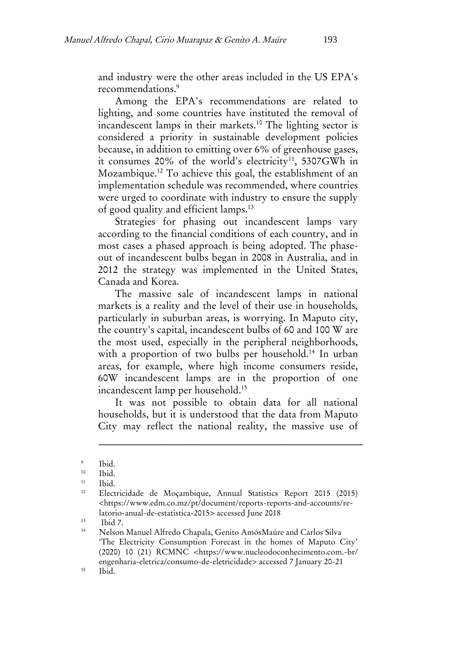and industry were the other areas included in the US EPA's recommendations.<sup>9</sup>

Among the EPA's recommendations are related to lighting, and some countries have instituted the removal of incandescent lamps in their markets.<sup>10</sup> The lighting sector is considered a priority in sustainable development policies because, in addition to emitting over 6% of greenhouse gases, it consumes 20% of the world's electricity<sup>11</sup>, 5307GWh in Mozambique.<sup>12</sup> To achieve this goal, the establishment of an implementation schedule was recommended, where countries were urged to coordinate with industry to ensure the supply of good quality and efficient lamps.<sup>13</sup>

Strategies for phasing out incandescent lamps vary according to the financial conditions of each country, and in most cases a phased approach is being adopted. The phaseout of incandescent bulbs began in 2008 in Australia, and in 2012 the strategy was implemented in the United States, Canada and Korea.

The massive sale of incandescent lamps in national markets is a reality and the level of their use in households, particularly in suburban areas, is worrying. In Maputo city, the country's capital, incandescent bulbs of 60 and 100 W are the most used, especially in the peripheral neighborhoods, with a proportion of two bulbs per household.<sup>14</sup> In urban areas, for example, where high income consumers reside, 60W incandescent lamps are in the proportion of one incandescent lamp per household.<sup>15</sup>

It was not possible to obtain data for all national households, but it is understood that the data from Maputo City may reflect the national reality, the massive use of

\_\_\_\_\_\_\_\_\_\_\_\_\_\_\_\_\_\_\_\_\_\_\_\_\_\_\_\_\_\_\_\_\_\_\_\_\_\_\_\_\_\_\_\_\_\_\_\_\_\_\_

 $13$  Ibid 7.

<sup>9</sup> Ibid.

 $10$  Ibid.<br> $11$  Ibid.

 $\frac{11}{12}$  Ibid.

<sup>12</sup> Electricidade de Moçambique, Annual Statistics Report 2015 (2015) <https://www.edm.co.mz/pt/document/reports-reports-and-accounts/relatorio-anual-de-estatistica-2015> accessed June 2018

<sup>14</sup> Nelson Manuel Alfredo Chapala, Genito AmósMaúre and Carlos Silva 'The Electricity Consumption Forecast in the homes of Maputo City' (2020) 10 (21) RCMNC <https://www.nucleodoconhecimento.com.-br/ engenharia-eletrica/consumo-de-eletricidade> accessed 7 January 20-21  $15$  Ibid.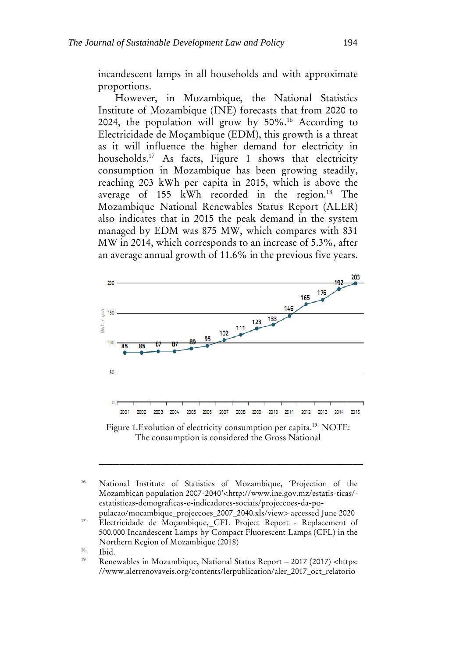incandescent lamps in all households and with approximate proportions.

However, in Mozambique, the National Statistics Institute of Mozambique (INE) forecasts that from 2020 to 2024, the population will grow by 50%.<sup>16</sup> According to Electricidade de Moçambique (EDM), this growth is a threat as it will influence the higher demand for electricity in households.<sup>17</sup> As facts, Figure 1 shows that electricity consumption in Mozambique has been growing steadily, reaching 203 kWh per capita in 2015, which is above the average of  $155$  kWh recorded in the region.<sup>18</sup> The Mozambique National Renewables Status Report (ALER) also indicates that in 2015 the peak demand in the system managed by EDM was 875 MW, which compares with 831 MW in 2014, which corresponds to an increase of 5.3%, after an average annual growth of 11.6% in the previous five years.



Figure 1. Evolution of electricity consumption per capita.<sup>19</sup> NOTE: The consumption is considered the Gross National

<sup>16</sup> National Institute of Statistics of Mozambique, 'Projection of the Mozambican population 2007-2040'<http://www.ine.gov.mz/estatis-ticas/ estatisticas-demograficas-e-indicadores-sociais/projeccoes-da-populacao/mocambique\_projeccoes\_2007\_2040.xls/view> accessed June 2020

<sup>&</sup>lt;sup>17</sup> Electricidade de Moçambique, CFL Project Report - Replacement of 500.000 Incandescent Lamps by Compact Fluorescent Lamps (CFL) in the Northern Region of Mozambique (2018)

 $\frac{18}{19}$  Ibid.

Renewables in Mozambique, National Status Report – 2017 (2017) <https: //www.alerrenovaveis.org/contents/lerpublication/aler\_2017\_oct\_relatorio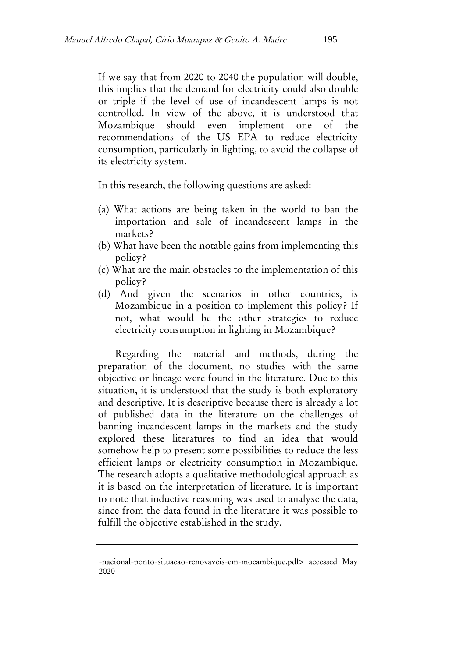If we say that from 2020 to 2040 the population will double, this implies that the demand for electricity could also double or triple if the level of use of incandescent lamps is not controlled. In view of the above, it is understood that Mozambique should even implement one of the recommendations of the US EPA to reduce electricity consumption, particularly in lighting, to avoid the collapse of its electricity system.

In this research, the following questions are asked:

- (a) What actions are being taken in the world to ban the importation and sale of incandescent lamps in the markets?
- (b) What have been the notable gains from implementing this policy?
- (c) What are the main obstacles to the implementation of this policy?
- (d) And given the scenarios in other countries, is Mozambique in a position to implement this policy? If not, what would be the other strategies to reduce electricity consumption in lighting in Mozambique?

Regarding the material and methods, during the preparation of the document, no studies with the same objective or lineage were found in the literature. Due to this situation, it is understood that the study is both exploratory and descriptive. It is descriptive because there is already a lot of published data in the literature on the challenges of banning incandescent lamps in the markets and the study explored these literatures to find an idea that would somehow help to present some possibilities to reduce the less efficient lamps or electricity consumption in Mozambique. The research adopts a qualitative methodological approach as it is based on the interpretation of literature. It is important to note that inductive reasoning was used to analyse the data, since from the data found in the literature it was possible to fulfill the objective established in the study.

<sup>-</sup>nacional-ponto-situacao-renovaveis-em-mocambique.pdf> accessed May 2020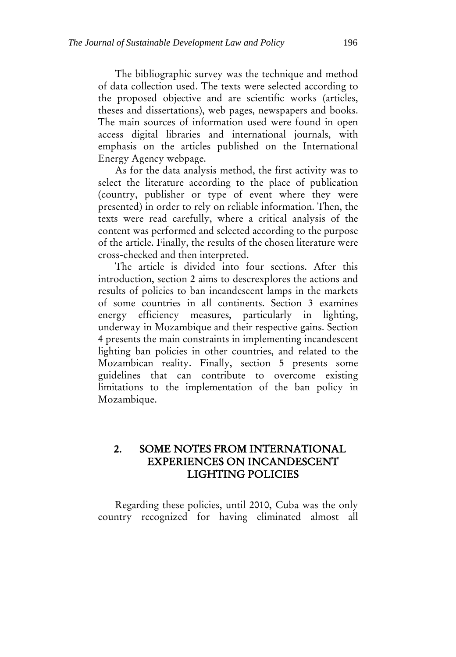The bibliographic survey was the technique and method of data collection used. The texts were selected according to the proposed objective and are scientific works (articles, theses and dissertations), web pages, newspapers and books. The main sources of information used were found in open access digital libraries and international journals, with emphasis on the articles published on the International Energy Agency webpage.

As for the data analysis method, the first activity was to select the literature according to the place of publication (country, publisher or type of event where they were presented) in order to rely on reliable information. Then, the texts were read carefully, where a critical analysis of the content was performed and selected according to the purpose of the article. Finally, the results of the chosen literature were cross-checked and then interpreted.

The article is divided into four sections. After this introduction, section 2 aims to descrexplores the actions and results of policies to ban incandescent lamps in the markets of some countries in all continents. Section 3 examines energy efficiency measures, particularly in lighting, underway in Mozambique and their respective gains. Section 4 presents the main constraints in implementing incandescent lighting ban policies in other countries, and related to the Mozambican reality. Finally, section 5 presents some guidelines that can contribute to overcome existing limitations to the implementation of the ban policy in Mozambique.

# 2. SOME NOTES FROM INTERNATIONAL EXPERIENCES ON INCANDESCENT LIGHTING POLICIES

Regarding these policies, until 2010, Cuba was the only country recognized for having eliminated almost all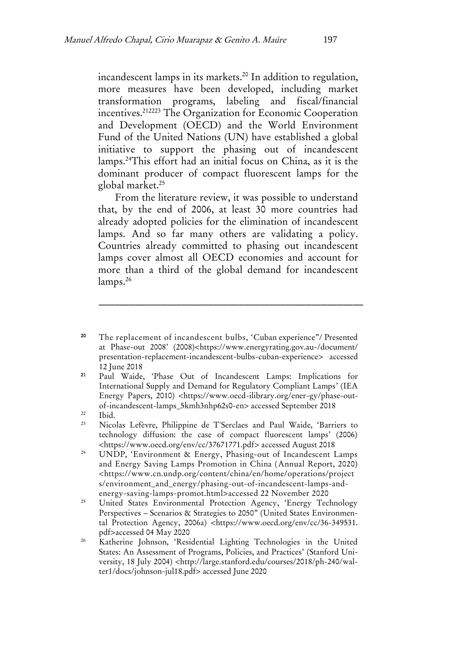incandescent lamps in its markets.<sup>20</sup> In addition to regulation, more measures have been developed, including market transformation programs, labeling and fiscal/financial incentives.<sup>212223</sup> The Organization for Economic Cooperation and Development (OECD) and the World Environment Fund of the United Nations (UN) have established a global initiative to support the phasing out of incandescent lamps.<sup>24</sup>This effort had an initial focus on China, as it is the dominant producer of compact fluorescent lamps for the global market.<sup>25</sup>

From the literature review, it was possible to understand that, by the end of 2006, at least 30 more countries had already adopted policies for the elimination of incandescent lamps. And so far many others are validating a policy. Countries already committed to phasing out incandescent lamps cover almost all OECD economies and account for more than a third of the global demand for incandescent lamps.<sup>26</sup>

<sup>20</sup> The replacement of incandescent bulbs, 'Cuban experience"/ Presented at Phase-out 2008' (2008)<https://www.energyrating.gov.au-/document/ presentation-replacement-incandescent-bulbs-cuban-experience> accessed 12 June 2018

- <sup>21</sup> Paul Waide, 'Phase Out of Incandescent Lamps: Implications for International Supply and Demand for Regulatory Compliant Lamps' (IEA Energy Papers, 2010) <https://www.oecd-ilibrary.org/ener-gy/phase-outof-incandescent-lamps\_5kmh3nhp62s0-en> accessed September 2018
- $22$  Ibid.
- <sup>23</sup> Nicolas Lefèvre, Philippine de T'Serclaes and Paul Waide, 'Barriers to technology diffusion: the case of compact fluorescent lamps' (2006) <https://www.oecd.org/env/cc/37671771.pdf> accessed August 2018
- <sup>24</sup> UNDP, '[Environment & Energy,](https://www.cn.undp.org/content/china/en/home/operations/projects/environment_and_energy.html) Phasing-out of Incandescent Lamps and Energy Saving Lamps Promotion in China (Annual Report, 2020) [<https://www.cn.undp.org/content/china/en/home/operations/project](https://www.cn.undp.org/content/china/en/home/operations/projects/environment_and_energy/phasing-out-of-incandescent-lamps-and-energy-saving-lamps-promot.html) [s/environment\\_and\\_energy/phasing-out-of-incandescent-lamps-and](https://www.cn.undp.org/content/china/en/home/operations/projects/environment_and_energy/phasing-out-of-incandescent-lamps-and-energy-saving-lamps-promot.html)[energy-saving-lamps-promot.html>](https://www.cn.undp.org/content/china/en/home/operations/projects/environment_and_energy/phasing-out-of-incandescent-lamps-and-energy-saving-lamps-promot.html)accessed 22 November 2020
- <sup>25</sup> United States Environmental Protection Agency, 'Energy Technology Perspectives – Scenarios & Strategies to 2050" (United States Environmental Protection Agency, 2006a) <https://www.oecd.org/env/cc/36-349531. pdf>accessed 04 May 2020
- <sup>26</sup> Katherine Johnson, 'Residential Lighting Technologies in the United States: An Assessment of Programs, Policies, and Practices' (Stanford University, 18 July 2004) <http://large.stanford.edu/courses/2018/ph-240/walter1/docs/johnson-jul18.pdf> accessed June 2020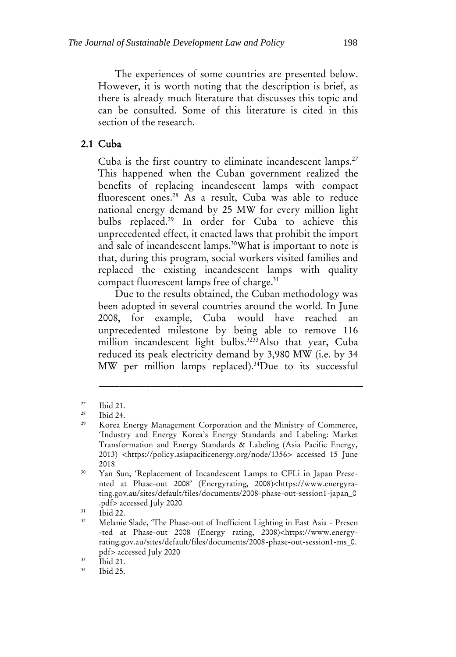The experiences of some countries are presented below. However, it is worth noting that the description is brief, as there is already much literature that discusses this topic and can be consulted. Some of this literature is cited in this section of the research.

## 2.1 Cuba

Cuba is the first country to eliminate incandescent lamps.<sup>27</sup> This happened when the Cuban government realized the benefits of replacing incandescent lamps with compact fluorescent ones.<sup>28</sup> As a result, Cuba was able to reduce national energy demand by 25 MW for every million light bulbs replaced.<sup>29</sup> In order for Cuba to achieve this unprecedented effect, it enacted laws that prohibit the import and sale of incandescent lamps.<sup>30</sup>What is important to note is that, during this program, social workers visited families and replaced the existing incandescent lamps with quality compact fluorescent lamps free of charge.<sup>31</sup>

Due to the results obtained, the Cuban methodology was been adopted in several countries around the world. In June 2008, for example, Cuba would have reached an unprecedented milestone by being able to remove 116 million incandescent light bulbs.<sup>3233</sup>Also that year, Cuba reduced its peak electricity demand by 3,980 MW (i.e. by 34 MW per million lamps replaced).<sup>34</sup>Due to its successful

\_\_\_\_\_\_\_\_\_\_\_\_\_\_\_\_\_\_\_\_\_\_\_\_\_\_\_\_\_\_\_\_\_\_\_\_\_\_\_\_\_\_\_\_\_\_\_\_\_\_\_

 $\frac{31}{32}$  Ibid 22.

 $\frac{33}{34}$  Ibid 21.

 $rac{27}{28}$  Ibid 21.

Ibid 24.

<sup>&</sup>lt;sup>29</sup> Korea Energy Management Corporation and the Ministry of Commerce, 'Industry and Energy Korea's Energy Standards and Labeling: Market Transformation and Energy Standards & Labeling (Asia Pacific Energy, 2013) [<https://policy.asiapacificenergy.org/node/1356>](https://policy.asiapacificenergy.org/node/1356) accessed 15 June 2018

<sup>&</sup>lt;sup>30</sup> Yan Sun, 'Replacement of Incandescent Lamps to CFLi in Japan Presented at Phase-out 2008' (Energyrating, 2008)<https://www.energyrating.gov.au/sites/default/files/documents/2008-phase-out-session1-japan\_0 .pdf> accessed July 2020

<sup>32</sup> Melanie Slade, 'The Phase-out of Inefficient Lighting in East Asia - Presen -ted at Phase-out 2008 (Energy rating, 2008)[<https://www.energy](https://www.energy-rating.gov.au/sites/default/files/documents/2008-phase-out-session1-ms_0.pdf)[rating.gov.au/sites/default/files/documents/2008-phase-out-session1-ms\\_0.](https://www.energy-rating.gov.au/sites/default/files/documents/2008-phase-out-session1-ms_0.pdf) [pdf>](https://www.energy-rating.gov.au/sites/default/files/documents/2008-phase-out-session1-ms_0.pdf) accessed July 2020

Ibid 25.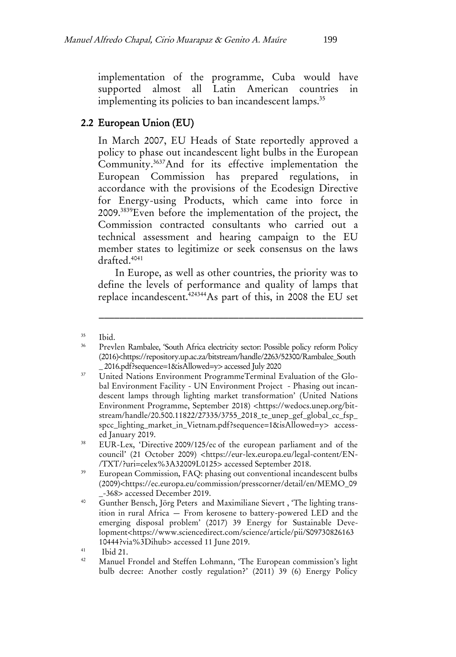implementation of the programme, Cuba would have supported almost all Latin American countries in implementing its policies to ban incandescent lamps.<sup>35</sup>

# 2.2 European Union (EU)

In March 2007, EU Heads of State reportedly approved a policy to phase out incandescent light bulbs in the European Community.<sup>3637</sup>And for its effective implementation the European Commission has prepared regulations, in accordance with the provisions of the Ecodesign Directive for Energy-using Products, which came into force in 2009.<sup>3839</sup>Even before the implementation of the project, the Commission contracted consultants who carried out a technical assessment and hearing campaign to the EU member states to legitimize or seek consensus on the laws drafted.<sup>4041</sup>

In Europe, as well as other countries, the priority was to define the levels of performance and quality of lamps that replace incandescent.<sup>424344</sup>As part of this, in 2008 the EU set

\_\_\_\_\_\_\_\_\_\_\_\_\_\_\_\_\_\_\_\_\_\_\_\_\_\_\_\_\_\_\_\_\_\_\_\_\_\_\_\_\_\_\_\_\_\_\_\_\_\_\_

<sup>39</sup> European Commission, FAQ: phasing out conventional incandescent bulbs (2009)<https://ec.europa.eu/commission/presscorner/detail/en/MEMO\_09 \_-368> accessed December 2019.

<sup>35</sup> Ibid.

<sup>36</sup> Prevlen Rambalee, 'South Africa electricity sector: Possible policy reform Policy (2016)<https://repository.up.ac.za/bitstream/handle/2263/52300/Rambalee\_South \_ 2016.pdf?sequence=1&isAllowed=y> accessed July 2020

<sup>&</sup>lt;sup>37</sup> United Nations Environment ProgrammeTerminal Evaluation of the Global Environment Facility - UN Environment Project - Phasing out incandescent lamps through lighting market transformation' (United Nations Environment Programme, September 2018) <https://wedocs.unep.org/bitstream/handle/20.500.11822/27335/3755\_2018\_te\_unep\_gef\_global\_cc\_fsp\_ spcc\_lighting\_market\_in\_Vietnam.pdf?sequence=1&isAllowed=y> accessed January 2019.

<sup>&</sup>lt;sup>38</sup> EUR-Lex, 'Directive 2009/125/ec of the european parliament and of the council' (21 October 2009) <https://eur-lex.europa.eu/legal-content/EN- /TXT/?uri=celex%3A32009L0125> accessed September 2018.

<sup>40</sup> [Gunther Bensch, Jörg Peters](https://www.sciencedirect.com/science/article/pii/S0973082616310444?via%3Dihub#!) and [Maximiliane Sievert](https://www.sciencedirect.com/science/article/pii/S0973082616310444?via%3Dihub#!) , 'The lighting transition in rural Africa — From kerosene to battery-powered LED and the emerging disposal problem' (2017) 39 [Energy for Sustainable Deve](https://www.sciencedirect.com/science/journal/09730826)[lopment<](https://www.sciencedirect.com/science/journal/09730826)https://www.sciencedirect.com/science/article/pii/S09730826163 10444?via%3Dihub> accessed 11 June 2019.

<sup>41</sup>  $\begin{array}{cc}\n\text{41} & \text{Ibid 21.} \\
\text{42} & \text{Messel}\n\end{array}$ 

Manuel Frondel and Steffen Lohmann, 'The European commission's light bulb decree: Another costly regulation?' (2011) 39 (6) Energy Policy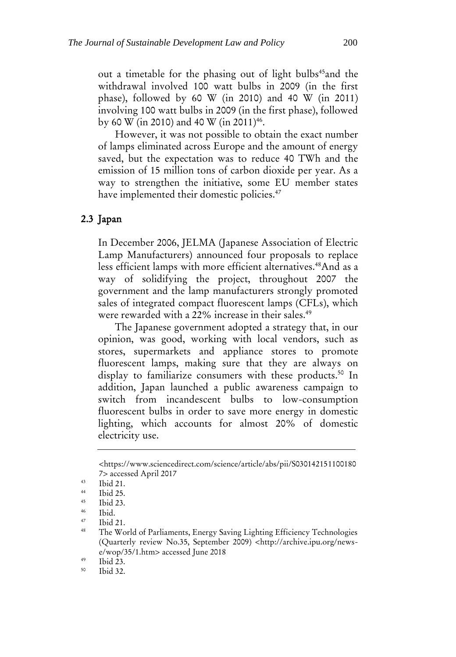out a timetable for the phasing out of light bulbs<sup>45</sup>and the withdrawal involved 100 watt bulbs in 2009 (in the first phase), followed by 60 W (in 2010) and 40 W (in 2011) involving 100 watt bulbs in 2009 (in the first phase), followed by 60 W (in 2010) and 40 W (in 2011)<sup>46</sup>.

However, it was not possible to obtain the exact number of lamps eliminated across Europe and the amount of energy saved, but the expectation was to reduce 40 TWh and the emission of 15 million tons of carbon dioxide per year. As a way to strengthen the initiative, some EU member states have implemented their domestic policies.<sup>47</sup>

#### 2.3 Japan

In December 2006, JELMA (Japanese Association of Electric Lamp Manufacturers) announced four proposals to replace less efficient lamps with more efficient alternatives.<sup>48</sup>And as a way of solidifying the project, throughout 2007 the government and the lamp manufacturers strongly promoted sales of integrated compact fluorescent lamps (CFLs), which were rewarded with a 22% increase in their sales.<sup>49</sup>

The Japanese government adopted a strategy that, in our opinion, was good, working with local vendors, such as stores, supermarkets and appliance stores to promote fluorescent lamps, making sure that they are always on display to familiarize consumers with these products.<sup>50</sup> In addition, Japan launched a public awareness campaign to switch from incandescent bulbs to low-consumption fluorescent bulbs in order to save more energy in domestic lighting, which accounts for almost 20% of domestic electricity use.

[<sup>&</sup>lt;https://www.sciencedirect.com/science/article/abs/pii/S030142151100180](https://www.sciencedirect.com/science/article/abs/pii/S0301421511001807) [7>](https://www.sciencedirect.com/science/article/abs/pii/S0301421511001807) accessed April 2017

 $\frac{43}{44}$  Ibid 21.

 $\frac{44}{16}$  Ibid 25.

 $^{45}$  Ibid 23.

 $^{46}$  Ibid.

 $^{47}$  Ibid 21.

The World of Parliaments, Energy Saving Lighting Efficiency Technologies (Quarterly review No.35, September 2009) [<http://archive.ipu.org/news](http://archive.ipu.org/news-e/wop/35/1.htm)[e/wop/35/1.htm>](http://archive.ipu.org/news-e/wop/35/1.htm) accessed June 2018

 $^{49}$  Ibid 23.

Ibid 32.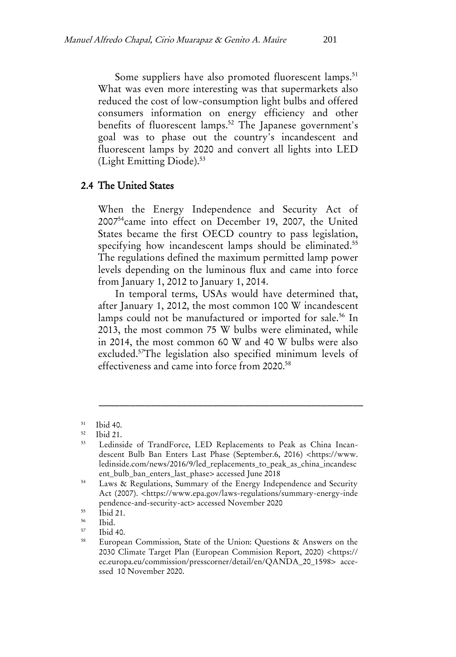Some suppliers have also promoted fluorescent lamps.<sup>51</sup> What was even more interesting was that supermarkets also reduced the cost of low-consumption light bulbs and offered consumers information on energy efficiency and other benefits of fluorescent lamps.<sup>52</sup> The Japanese government's goal was to phase out the country's incandescent and fluorescent lamps by 2020 and convert all lights into LED (Light Emitting Diode).<sup>53</sup>

#### 2.4 The United States

When the Energy Independence and Security Act of 2007<sup>54</sup>came into effect on December 19, 2007, the United States became the first OECD country to pass legislation, specifying how incandescent lamps should be eliminated.<sup>55</sup> The regulations defined the maximum permitted lamp power levels depending on the luminous flux and came into force from January 1, 2012 to January 1, 2014.

In temporal terms, USAs would have determined that, after January 1, 2012, the most common 100 W incandescent lamps could not be manufactured or imported for sale.<sup>56</sup> In 2013, the most common 75 W bulbs were eliminated, while in 2014, the most common 60 W and 40 W bulbs were also excluded.<sup>57</sup>The legislation also specified minimum levels of effectiveness and came into force from 2020.<sup>58</sup>

\_\_\_\_\_\_\_\_\_\_\_\_\_\_\_\_\_\_\_\_\_\_\_\_\_\_\_\_\_\_\_\_\_\_\_\_\_\_\_\_\_\_\_\_\_\_\_\_\_\_\_

Ibid 40.

<sup>51</sup> Ibid 40.

<sup>52</sup>  $\frac{52}{53}$  Ibid 21.

Ledinside of TrandForce, LED Replacements to Peak as China Incandescent Bulb Ban Enters Last Phase (September.6, 2016) <https://www. ledinside.com/news/2016/9/led\_replacements\_to\_peak\_as\_china\_incandesc ent\_bulb\_ban\_enters\_last\_phase> accessed June 2018

<sup>54</sup> Laws & Regulations, Summary of the Energy Independence and Security Act (2007). <https://www.epa.gov/laws-regulations/summary-energy-inde pendence-and-security-act> accessed November 2020

 $\frac{55}{56}$  Ibid 21.

 $\frac{56}{57}$  Ibid.

<sup>58</sup> European Commission, State of the Union: Questions & Answers on the 2030 Climate Target Plan (European Commision Report, 2020) <https:// ec.europa.eu/commission/presscorner/detail/en/QANDA\_20\_1598> accessed 10 November 2020.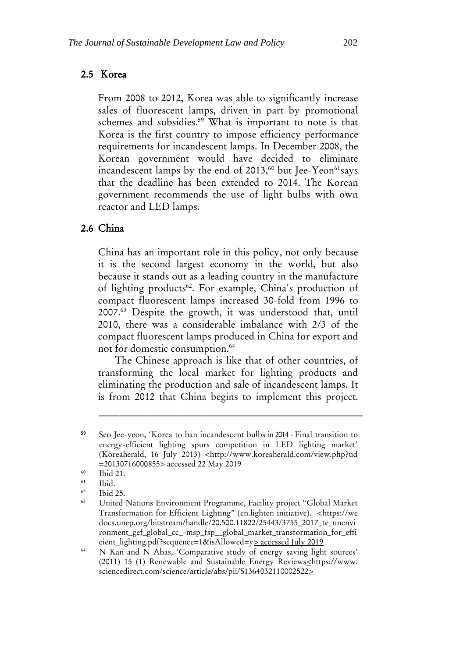#### 2.5 Korea

From 2008 to 2012, Korea was able to significantly increase sales of fluorescent lamps, driven in part by promotional schemes and subsidies.<sup>59</sup> What is important to note is that Korea is the first country to impose efficiency performance requirements for incandescent lamps. In December 2008, the Korean government would have decided to eliminate incandescent lamps by the end of  $2013$ ,<sup>60</sup> but Jee-Yeon<sup>61</sup>says that the deadline has been extended to 2014. The Korean government recommends the use of light bulbs with own reactor and LED lamps.

#### 2.6 China

China has an important role in this policy, not only because it is the second largest economy in the world, but also because it stands out as a leading country in the manufacture of lighting products<sup>62</sup>. For example, China's production of compact fluorescent lamps increased 30-fold from 1996 to 2007.<sup>63</sup> Despite the growth, it was understood that, until 2010, there was a considerable imbalance with 2/3 of the compact fluorescent lamps produced in China for export and not for domestic consumption.<sup>64</sup>

The Chinese approach is like that of other countries, of transforming the local market for lighting products and eliminating the production and sale of incandescent lamps. It is from 2012 that China begins to implement this project.

<sup>59</sup> Seo Jee-yeon, 'Korea to ban incandescent bulbs in 2014 - Final transition to energy-efficient lighting spurs competition in LED lighting market' (Koreaherald, 16 July 2013) <http://www.koreaherald.com/view.php?ud =20130716000855> accessed 22 May 2019

 $^{60}$  Ibid 21.

 $\begin{array}{cc}\n 61 \quad \text{Ibid.} \\
 62 \quad \text{II.1}\n \end{array}$ 

 $\frac{62}{63}$  Ibid 25.

<sup>63</sup> United Nations Environment Programme, Facility project "Global Market Transformation for Efficient Lighting" (en.lighten initiative). <https://we docs.unep.org/bitstream/handle/20.500.11822/25443/3755\_2017\_te\_unenvi ronment\_gef\_global\_cc\_-msp\_fsp\_\_global\_market\_transformation\_for\_effi cient\_lighting.pdf?sequence=1&isAllowed=y> accessed July 2019

<sup>&</sup>lt;sup>64</sup> N Kan and N Abas, 'Comparative study of energy saving light sources' (2011) 15 (1) Renewable and Sustainable Energy Reviews<https://www. sciencedirect.com/science/article/abs/pii/S1364032110002522>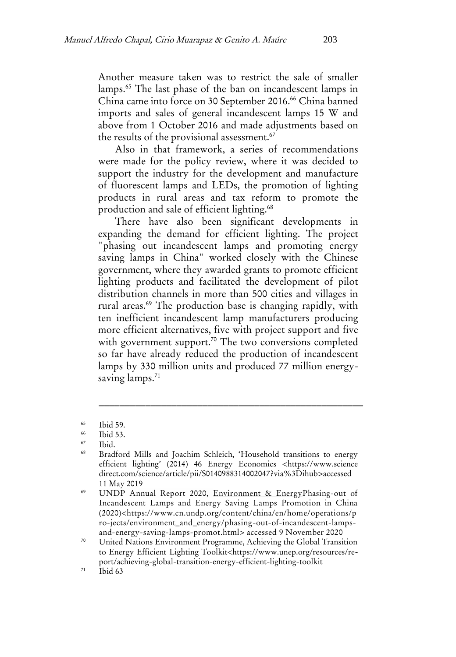Another measure taken was to restrict the sale of smaller lamps.<sup>65</sup> The last phase of the ban on incandescent lamps in China came into force on 30 September 2016.<sup>66</sup> China banned imports and sales of general incandescent lamps 15 W and above from 1 October 2016 and made adjustments based on the results of the provisional assessment.<sup>67</sup>

Also in that framework, a series of recommendations were made for the policy review, where it was decided to support the industry for the development and manufacture of fluorescent lamps and LEDs, the promotion of lighting products in rural areas and tax reform to promote the production and sale of efficient lighting.<sup>68</sup>

There have also been significant developments in expanding the demand for efficient lighting. The project "phasing out incandescent lamps and promoting energy saving lamps in China" worked closely with the Chinese government, where they awarded grants to promote efficient lighting products and facilitated the development of pilot distribution channels in more than 500 cities and villages in rural areas.<sup>69</sup> The production base is changing rapidly, with ten inefficient incandescent lamp manufacturers producing more efficient alternatives, five with project support and five with government support.<sup>70</sup> The two conversions completed so far have already reduced the production of incandescent lamps by 330 million units and produced 77 million energysaving lamps.<sup>71</sup>

 $\frac{65}{66}$  Ibid 59.

 $\frac{66}{67}$  Ibid 53.

 $\begin{array}{cc}\n 67 \\
 \hline\n 68 \\
 \hline\n \end{array}$  Ibid.

<sup>68</sup> Bradford Mills and Joachim Schleich, 'Household transitions to energy efficient lighting' (2014) 46 Energy Economics <https://www.science direct.com/science/article/pii/S0140988314002047?via%3Dihub>accessed 11 May 2019

<sup>&</sup>lt;sup>69</sup> UNDP Annual Report 2020, [Environment & EnergyP](https://www.cn.undp.org/content/china/en/home/operations/projects/environment_and_energy.html)hasing-out of Incandescent Lamps and Energy Saving Lamps Promotion in China (2020)<https://www.cn.undp.org/content/china/en/home/operations/p ro-jects/environment\_and\_energy/phasing-out-of-incandescent-lampsand-energy-saving-lamps-promot.html> accessed 9 November 2020

<sup>70</sup> United Nations Environment Programme, Achieving the Global Transition to Energy Efficient Lighting Toolkit<https://www.unep.org/resources/report/achieving-global-transition-energy-efficient-lighting-toolkit

 $71$  Ibid 63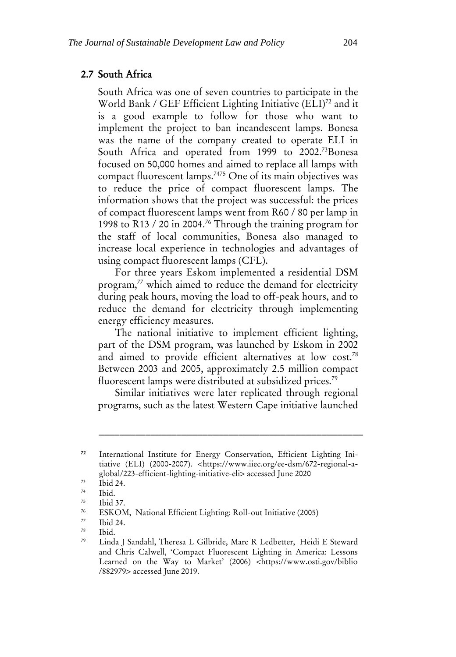#### 2.7 South Africa

South Africa was one of seven countries to participate in the World Bank / GEF Efficient Lighting Initiative (ELI)<sup>72</sup> and it is a good example to follow for those who want to implement the project to ban incandescent lamps. Bonesa was the name of the company created to operate ELI in South Africa and operated from 1999 to 2002.<sup>73</sup>Bonesa focused on 50,000 homes and aimed to replace all lamps with compact fluorescent lamps.<sup>7475</sup> One of its main objectives was to reduce the price of compact fluorescent lamps. The information shows that the project was successful: the prices of compact fluorescent lamps went from R60 / 80 per lamp in 1998 to R13 / 20 in 2004.<sup>76</sup> Through the training program for the staff of local communities, Bonesa also managed to increase local experience in technologies and advantages of using compact fluorescent lamps (CFL).

For three years Eskom implemented a residential DSM program,<sup>77</sup> which aimed to reduce the demand for electricity during peak hours, moving the load to off-peak hours, and to reduce the demand for electricity through implementing energy efficiency measures.

The national initiative to implement efficient lighting, part of the DSM program, was launched by Eskom in 2002 and aimed to provide efficient alternatives at low cost.<sup>78</sup> Between 2003 and 2005, approximately 2.5 million compact fluorescent lamps were distributed at subsidized prices.<sup>79</sup>

Similar initiatives were later replicated through regional programs, such as the latest Western Cape initiative launched

<sup>72</sup> International Institute for Energy Conservation, Efficient Lighting Initiative (ELI) (2000-2007). <https://www.iiec.org/ee-dsm/672-regional-aglobal/223-efficient-lighting-initiative-eli> accessed June 2020

 $\frac{73}{74}$  Ibid 24.

 $\frac{74}{75}$  Ibid.

<sup>&</sup>lt;sup>75</sup> Ibid 37.

<sup>&</sup>lt;sup>76</sup> ESKOM, National Efficient Lighting: Roll-out Initiative (2005)

 $\frac{77}{78}$  Ibid 24.

Ibid.

<sup>79</sup> Linda J [Sandahl, T](https://www.osti.gov/search/author:%22Sandahl,%20Linda%20J%22)heresa L [Gilbride, M](https://www.osti.gov/search/author:%22Gilbride,%20Theresa%20L%22)arc R [Ledbetter, H](https://www.osti.gov/search/author:%22Ledbetter,%20Marc%20R%22)eidi [E Steward](https://www.osti.gov/search/author:%22Steward,%20Heidi%20E%22)  [and C](https://www.osti.gov/search/author:%22Steward,%20Heidi%20E%22)hris [Calwell,](https://www.osti.gov/search/author:%22Calwell,%20Chris%22) 'Compact Fluorescent Lighting in America: Lessons Learned on the Way to Market' (2006) <https://www.osti.gov/biblio /882979> accessed June 2019.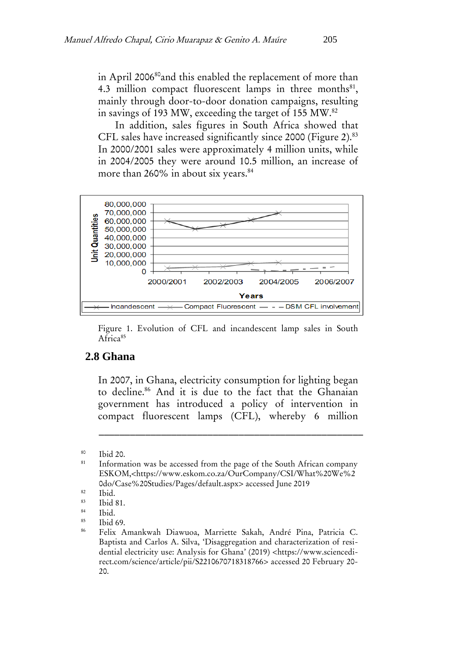in April 2006<sup>80</sup>and this enabled the replacement of more than 4.3 million compact fluorescent lamps in three months $^{81}$ , mainly through door-to-door donation campaigns, resulting in savings of 193 MW, exceeding the target of 155 MW.<sup>82</sup>

In addition, sales figures in South Africa showed that CFL sales have increased significantly since 2000 (Figure 2).<sup>83</sup> In 2000/2001 sales were approximately 4 million units, while in 2004/2005 they were around 10.5 million, an increase of more than 260% in about six years.<sup>84</sup>



Figure 1. Evolution of CFL and incandescent lamp sales in South Africa<sup>85</sup>

#### **2.8 Ghana**

In 2007, in Ghana, electricity consumption for lighting began to decline.<sup>86</sup> And it is due to the fact that the Ghanaian government has introduced a policy of intervention in compact fluorescent lamps (CFL), whereby 6 million

 $\frac{80}{81}$  Ibid 20.

Information was be accessed from the page of the South African company ESKOM,<https://www.eskom.co.za/OurCompany/CSI/What%20We%2 0do/Case%20Studies/Pages/default.aspx> accessed June 2019

 $rac{82}{83}$  Ibid.

 $rac{83}{84}$  Ibid 81.

 $rac{84}{85}$  Ibid.

 $85$  Ibid 69.

<sup>86</sup> Felix Amankwah Diawuoa, Marriette Sakah, André Pina, Patricia C. Baptista and Carlos A. Silva, 'Disaggregation and characterization of residential electricity use: Analysis for Ghana' (2019) <https://www.sciencedirect.com/science/article/pii/S2210670718318766> accessed 20 February 20- 20.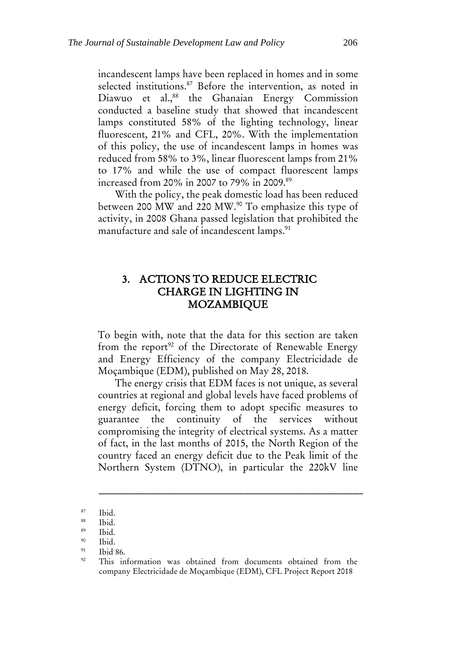incandescent lamps have been replaced in homes and in some selected institutions.<sup>87</sup> Before the intervention, as noted in Diawuo et al.,<sup>88</sup> the Ghanaian Energy Commission conducted a baseline study that showed that incandescent lamps constituted 58% of the lighting technology, linear fluorescent, 21% and CFL, 20%. With the implementation of this policy, the use of incandescent lamps in homes was reduced from 58% to 3%, linear fluorescent lamps from 21% to 17% and while the use of compact fluorescent lamps increased from 20% in 2007 to 79% in 2009.<sup>89</sup>

With the policy, the peak domestic load has been reduced between 200 MW and 220 MW.<sup>90</sup> To emphasize this type of activity, in 2008 Ghana passed legislation that prohibited the manufacture and sale of incandescent lamps.<sup>91</sup>

# 3. ACTIONS TO REDUCE ELECTRIC CHARGE IN LIGHTING IN MOZAMBIQUE

To begin with, note that the data for this section are taken from the report<sup>92</sup> of the Directorate of Renewable Energy and Energy Efficiency of the company Electricidade de Moçambique (EDM), published on May 28, 2018.

The energy crisis that EDM faces is not unique, as several countries at regional and global levels have faced problems of energy deficit, forcing them to adopt specific measures to guarantee the continuity of the services without compromising the integrity of electrical systems. As a matter of fact, in the last months of 2015, the North Region of the country faced an energy deficit due to the Peak limit of the Northern System (DTNO), in particular the 220kV line

 $rac{87}{88}$  Ibid.

 $rac{88}{89}$  Ibid.

 $rac{89}{20}$  Ibid.

 $^{90}$  Ibid.

 $\frac{91}{92}$  Ibid 86.

This information was obtained from documents obtained from the company Electricidade de Moçambique (EDM), CFL Project Report 2018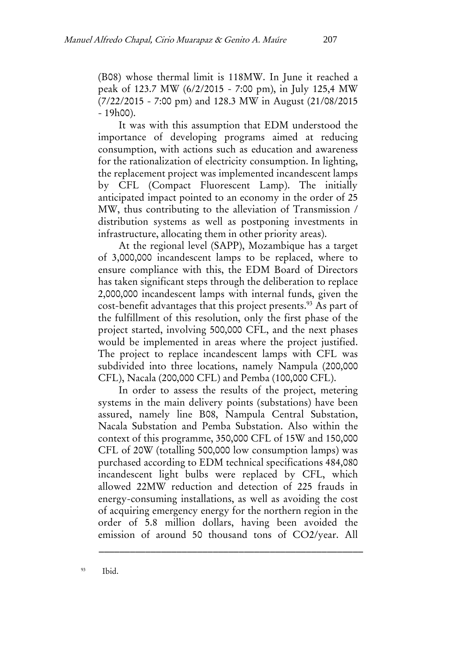(B08) whose thermal limit is 118MW. In June it reached a peak of 123.7 MW (6/2/2015 - 7:00 pm), in July 125,4 MW (7/22/2015 - 7:00 pm) and 128.3 MW in August (21/08/2015 - 19h00).

It was with this assumption that EDM understood the importance of developing programs aimed at reducing consumption, with actions such as education and awareness for the rationalization of electricity consumption. In lighting, the replacement project was implemented incandescent lamps by CFL (Compact Fluorescent Lamp). The initially anticipated impact pointed to an economy in the order of 25 MW, thus contributing to the alleviation of Transmission / distribution systems as well as postponing investments in infrastructure, allocating them in other priority areas).

At the regional level (SAPP), Mozambique has a target of 3,000,000 incandescent lamps to be replaced, where to ensure compliance with this, the EDM Board of Directors has taken significant steps through the deliberation to replace 2,000,000 incandescent lamps with internal funds, given the cost-benefit advantages that this project presents.<sup>93</sup> As part of the fulfillment of this resolution, only the first phase of the project started, involving 500,000 CFL, and the next phases would be implemented in areas where the project justified. The project to replace incandescent lamps with CFL was subdivided into three locations, namely Nampula (200,000 CFL), Nacala (200,000 CFL) and Pemba (100,000 CFL).

In order to assess the results of the project, metering systems in the main delivery points (substations) have been assured, namely line B08, Nampula Central Substation, Nacala Substation and Pemba Substation. Also within the context of this programme, 350,000 CFL of 15W and 150,000 CFL of 20W (totalling 500,000 low consumption lamps) was purchased according to EDM technical specifications 484,080 incandescent light bulbs were replaced by CFL, which allowed 22MW reduction and detection of 225 frauds in energy-consuming installations, as well as avoiding the cost of acquiring emergency energy for the northern region in the order of 5.8 million dollars, having been avoided the emission of around 50 thousand tons of CO2/year. All

\_\_\_\_\_\_\_\_\_\_\_\_\_\_\_\_\_\_\_\_\_\_\_\_\_\_\_\_\_\_\_\_\_\_\_\_\_\_\_\_\_\_\_\_\_\_\_\_\_\_\_

<sup>93</sup> Ibid.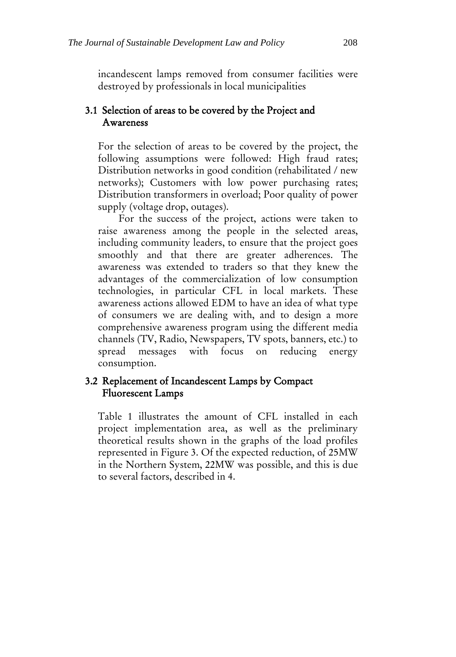incandescent lamps removed from consumer facilities were destroyed by professionals in local municipalities

# 3.1 Selection of areas to be covered by the Project and Awareness

For the selection of areas to be covered by the project, the following assumptions were followed: High fraud rates; Distribution networks in good condition (rehabilitated / new networks); Customers with low power purchasing rates; Distribution transformers in overload; Poor quality of power supply (voltage drop, outages).

For the success of the project, actions were taken to raise awareness among the people in the selected areas, including community leaders, to ensure that the project goes smoothly and that there are greater adherences. The awareness was extended to traders so that they knew the advantages of the commercialization of low consumption technologies, in particular CFL in local markets. These awareness actions allowed EDM to have an idea of what type of consumers we are dealing with, and to design a more comprehensive awareness program using the different media channels (TV, Radio, Newspapers, TV spots, banners, etc.) to spread messages with focus on reducing energy consumption.

## 3.2 Replacement of Incandescent Lamps by Compact Fluorescent Lamps

Table 1 illustrates the amount of CFL installed in each project implementation area, as well as the preliminary theoretical results shown in the graphs of the load profiles represented in Figure 3. Of the expected reduction, of 25MW in the Northern System, 22MW was possible, and this is due to several factors, described in 4.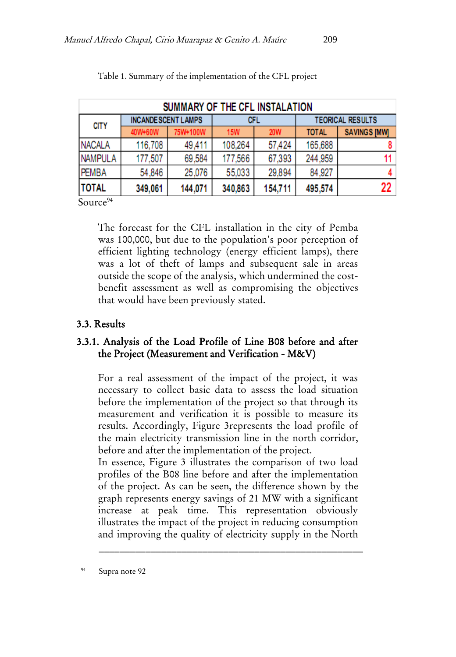| SUMMARY OF THE CFL INSTALATION |                           |          |            |            |                         |                     |  |
|--------------------------------|---------------------------|----------|------------|------------|-------------------------|---------------------|--|
| <b>CITY</b>                    | <b>INCANDESCENT LAMPS</b> |          | CFL        |            | <b>TEORICAL RESULTS</b> |                     |  |
|                                | 40W+60W                   | 75W+100W | <b>15W</b> | <b>20W</b> | <b>TOTAL</b>            | <b>SAVINGS [MW]</b> |  |
| <b>NACALA</b>                  | 116,708                   | 49.411   | 108.264    | 57.424     | 165,688                 |                     |  |
| <b>NAMPULA</b>                 | 177,507                   | 69.584   | 177.566    | 67,393     | 244,959                 |                     |  |
| <b>PEMBA</b>                   | 54.846                    | 25.076   | 55.033     | 29.894     | 84.927                  | 4                   |  |
| <b>TOTAL</b>                   | 349,061                   | 144,071  | 340,863    | 154,711    | 495,574                 | 22                  |  |

Table 1. Summary of the implementation of the CFL project

Source<sup>94</sup>

The forecast for the CFL installation in the city of Pemba was 100,000, but due to the population's poor perception of efficient lighting technology (energy efficient lamps), there was a lot of theft of lamps and subsequent sale in areas outside the scope of the analysis, which undermined the costbenefit assessment as well as compromising the objectives that would have been previously stated.

# 3.3. Results

## 3.3.1. Analysis of the Load Profile of Line B08 before and after the Project (Measurement and Verification - M&V)

For a real assessment of the impact of the project, it was necessary to collect basic data to assess the load situation before the implementation of the project so that through its measurement and verification it is possible to measure its results. Accordingly, Figure 3represents the load profile of the main electricity transmission line in the north corridor, before and after the implementation of the project.

In essence, Figure 3 illustrates the comparison of two load profiles of the B08 line before and after the implementation of the project. As can be seen, the difference shown by the graph represents energy savings of 21 MW with a significant increase at peak time. This representation obviously illustrates the impact of the project in reducing consumption and improving the quality of electricity supply in the North

\_\_\_\_\_\_\_\_\_\_\_\_\_\_\_\_\_\_\_\_\_\_\_\_\_\_\_\_\_\_\_\_\_\_\_\_\_\_\_\_\_\_\_\_\_\_\_\_\_\_\_

<sup>94</sup> Supra note 92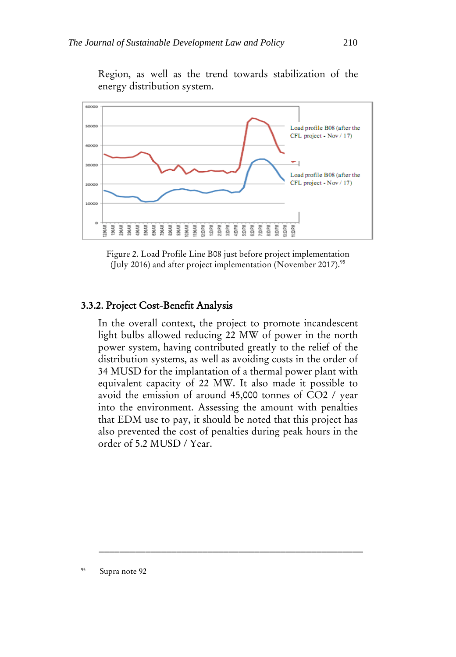

Region, as well as the trend towards stabilization of the energy distribution system.

Figure 2. Load Profile Line B08 just before project implementation (July 2016) and after project implementation (November 2017).<sup>95</sup>

#### 3.3.2. Project Cost-Benefit Analysis

In the overall context, the project to promote incandescent light bulbs allowed reducing 22 MW of power in the north power system, having contributed greatly to the relief of the distribution systems, as well as avoiding costs in the order of 34 MUSD for the implantation of a thermal power plant with equivalent capacity of 22 MW. It also made it possible to avoid the emission of around 45,000 tonnes of CO2 / year into the environment. Assessing the amount with penalties that EDM use to pay, it should be noted that this project has also prevented the cost of penalties during peak hours in the order of 5.2 MUSD / Year.

95 Supra note 92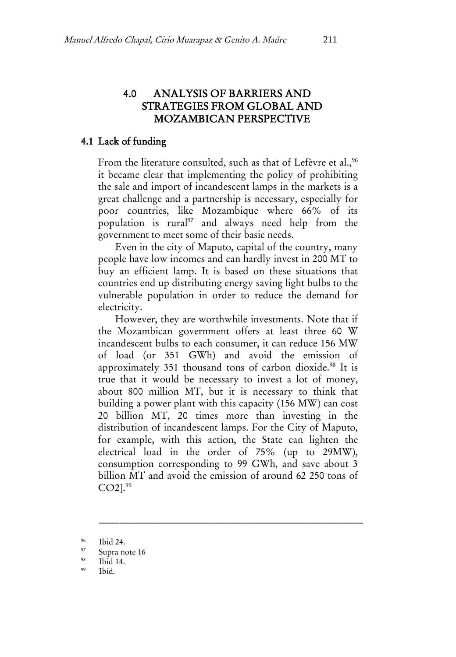# 4.0 ANALYSIS OF BARRIERS AND STRATEGIES FROM GLOBAL AND MOZAMBICAN PERSPECTIVE

#### 4.1 Lack of funding

From the literature consulted, such as that of Lefèvre et al.,<sup>96</sup> it became clear that implementing the policy of prohibiting the sale and import of incandescent lamps in the markets is a great challenge and a partnership is necessary, especially for poor countries, like Mozambique where 66% of its population is rural<sup>97</sup> and always need help from the government to meet some of their basic needs.

Even in the city of Maputo, capital of the country, many people have low incomes and can hardly invest in 200 MT to buy an efficient lamp. It is based on these situations that countries end up distributing energy saving light bulbs to the vulnerable population in order to reduce the demand for electricity.

However, they are worthwhile investments. Note that if the Mozambican government offers at least three 60 W incandescent bulbs to each consumer, it can reduce 156 MW of load (or 351 GWh) and avoid the emission of approximately 351 thousand tons of carbon dioxide.<sup>98</sup> It is true that it would be necessary to invest a lot of money, about 800 million MT, but it is necessary to think that building a power plant with this capacity (156 MW) can cost 20 billion MT, 20 times more than investing in the distribution of incandescent lamps. For the City of Maputo, for example, with this action, the State can lighten the electrical load in the order of 75% (up to 29MW), consumption corresponding to 99 GWh, and save about 3 billion MT and avoid the emission of around 62 250 tons of CO2].<sup>99</sup>

\_\_\_\_\_\_\_\_\_\_\_\_\_\_\_\_\_\_\_\_\_\_\_\_\_\_\_\_\_\_\_\_\_\_\_\_\_\_\_\_\_\_\_\_\_\_\_\_\_\_\_

Ibid.

 $^{96}$  Ibid 24.

 $\frac{97}{98}$  Supra note 16

Ibid 14.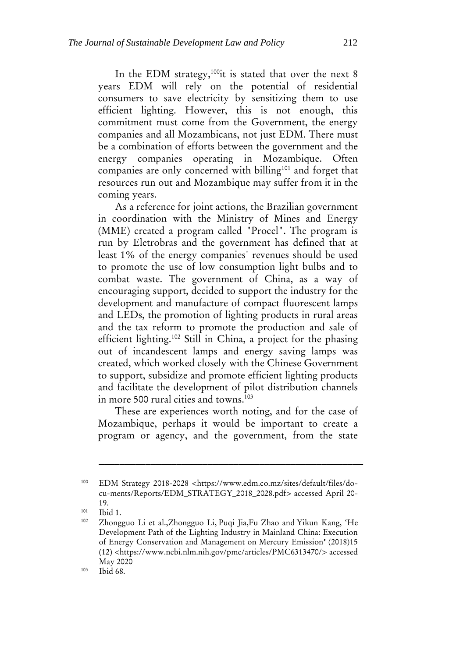In the EDM strategy,<sup>100</sup>it is stated that over the next 8 years EDM will rely on the potential of residential consumers to save electricity by sensitizing them to use efficient lighting. However, this is not enough, this commitment must come from the Government, the energy companies and all Mozambicans, not just EDM. There must be a combination of efforts between the government and the energy companies operating in Mozambique. Often companies are only concerned with billing<sup>101</sup> and forget that resources run out and Mozambique may suffer from it in the coming years.

As a reference for joint actions, the Brazilian government in coordination with the Ministry of Mines and Energy (MME) created a program called "Procel". The program is run by Eletrobras and the government has defined that at least 1% of the energy companies' revenues should be used to promote the use of low consumption light bulbs and to combat waste. The government of China, as a way of encouraging support, decided to support the industry for the development and manufacture of compact fluorescent lamps and LEDs, the promotion of lighting products in rural areas and the tax reform to promote the production and sale of efficient lighting.<sup>102</sup> Still in China, a project for the phasing out of incandescent lamps and energy saving lamps was created, which worked closely with the Chinese Government to support, subsidize and promote efficient lighting products and facilitate the development of pilot distribution channels in more 500 rural cities and towns.<sup>103</sup>

These are experiences worth noting, and for the case of Mozambique, perhaps it would be important to create a program or agency, and the government, from the state

<sup>100</sup> EDM Strategy 2018-2028 <https://www.edm.co.mz/sites/default/files/docu-ments/Reports/EDM\_STRATEGY\_2018\_2028.pdf> accessed April 20- 19.

<sup>101</sup>  $\frac{101}{102}$  Ibid 1.

Zhongguo Li et al[.,Zhongguo Li,](https://www.ncbi.nlm.nih.gov/pubmed/?term=Li%20Z%5BAuthor%5D&cauthor=true&cauthor_uid=30558339) [Puqi Jia,](https://www.ncbi.nlm.nih.gov/pubmed/?term=Jia%20P%5BAuthor%5D&cauthor=true&cauthor_uid=30558339)[Fu Zhao](https://www.ncbi.nlm.nih.gov/pubmed/?term=Zhao%20F%5BAuthor%5D&cauthor=true&cauthor_uid=30558339) and [Yikun Kang](https://www.ncbi.nlm.nih.gov/pubmed/?term=Kang%20Y%5BAuthor%5D&cauthor=true&cauthor_uid=30558339), 'He Development Path of the Lighting Industry in Mainland China: Execution of Energy Conservation and Management on Mercury Emission' (2018)15 (12) <https://www.ncbi.nlm.nih.gov/pmc/articles/PMC6313470/> accessed May 2020

<sup>103</sup> Ibid 68.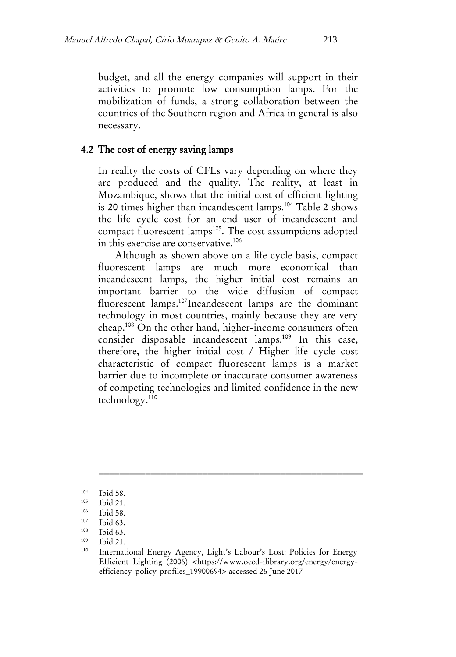budget, and all the energy companies will support in their activities to promote low consumption lamps. For the mobilization of funds, a strong collaboration between the countries of the Southern region and Africa in general is also necessary.

## 4.2 The cost of energy saving lamps

In reality the costs of CFLs vary depending on where they are produced and the quality. The reality, at least in Mozambique, shows that the initial cost of efficient lighting is 20 times higher than incandescent lamps.<sup>104</sup> Table 2 shows the life cycle cost for an end user of incandescent and compact fluorescent lamps<sup>105</sup>. The cost assumptions adopted in this exercise are conservative.<sup>106</sup>

Although as shown above on a life cycle basis, compact fluorescent lamps are much more economical than incandescent lamps, the higher initial cost remains an important barrier to the wide diffusion of compact fluorescent lamps.<sup>107</sup>Incandescent lamps are the dominant technology in most countries, mainly because they are very cheap.<sup>108</sup> On the other hand, higher-income consumers often consider disposable incandescent lamps.<sup>109</sup> In this case, therefore, the higher initial cost / Higher life cycle cost characteristic of compact fluorescent lamps is a market barrier due to incomplete or inaccurate consumer awareness of competing technologies and limited confidence in the new technology.<sup>110</sup>

 $104$  Ibid 58.

 $105$  Ibid 21.

 $106$  Ibid 58.

 $107$  Ibid 63.

Ibid 63.

 $109$  Ibid 21.

International Energy Agency, Light's Labour's Lost: Policies for Energy Efficient Lighting (2006) [<https://www.oecd-ilibrary.org/energy/energy](https://www.oecd-ilibrary.org/energy/energy-efficiency-policy-profiles_19900694)[efficiency-policy-profiles\\_19900694>](https://www.oecd-ilibrary.org/energy/energy-efficiency-policy-profiles_19900694) accessed 26 June 2017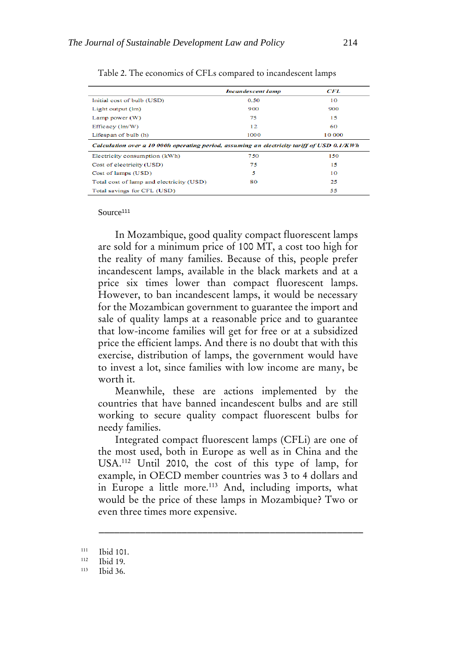|                                                                                            | <b>Incandescent lamp</b> | CFL    |  |  |  |  |
|--------------------------------------------------------------------------------------------|--------------------------|--------|--|--|--|--|
| Initial cost of bulb (USD)                                                                 | 0.50                     | 10     |  |  |  |  |
| Light output (lm)                                                                          | 900                      | 900    |  |  |  |  |
| Lamp power $(W)$                                                                           | 75                       | 15     |  |  |  |  |
| Efficacy (lm/W)                                                                            | 12                       | 60     |  |  |  |  |
| Lifespan of bulb (h)                                                                       | 1000                     | 10 000 |  |  |  |  |
| Calculation over a 10 000h operating period, assuming an electricity tariff of USD 0.1/KWh |                          |        |  |  |  |  |
| Electricity consumption (kWh)                                                              | 750                      | 150    |  |  |  |  |
| Cost of electricity (USD)                                                                  | 75                       | 15     |  |  |  |  |
| Cost of lamps (USD)                                                                        | 5                        | 10     |  |  |  |  |
| Total cost of lamp and electricity (USD)                                                   | 80                       | 25     |  |  |  |  |
| Total savings for CFL (USD)                                                                |                          | 55     |  |  |  |  |

Table 2. The economics of CFLs compared to incandescent lamps

#### Source<sup>111</sup>

In Mozambique, good quality compact fluorescent lamps are sold for a minimum price of 100 MT, a cost too high for the reality of many families. Because of this, people prefer incandescent lamps, available in the black markets and at a price six times lower than compact fluorescent lamps. However, to ban incandescent lamps, it would be necessary for the Mozambican government to guarantee the import and sale of quality lamps at a reasonable price and to guarantee that low-income families will get for free or at a subsidized price the efficient lamps. And there is no doubt that with this exercise, distribution of lamps, the government would have to invest a lot, since families with low income are many, be worth it.

Meanwhile, these are actions implemented by the countries that have banned incandescent bulbs and are still working to secure quality compact fluorescent bulbs for needy families.

Integrated compact fluorescent lamps (CFLi) are one of the most used, both in Europe as well as in China and the USA.<sup>112</sup> Until 2010, the cost of this type of lamp, for example, in OECD member countries was 3 to 4 dollars and in Europe a little more.<sup>113</sup> And, including imports, what would be the price of these lamps in Mozambique? Two or even three times more expensive.

 $\frac{111}{112}$  Ibid 101.

 $112$  Ibid 19.

Ibid 36.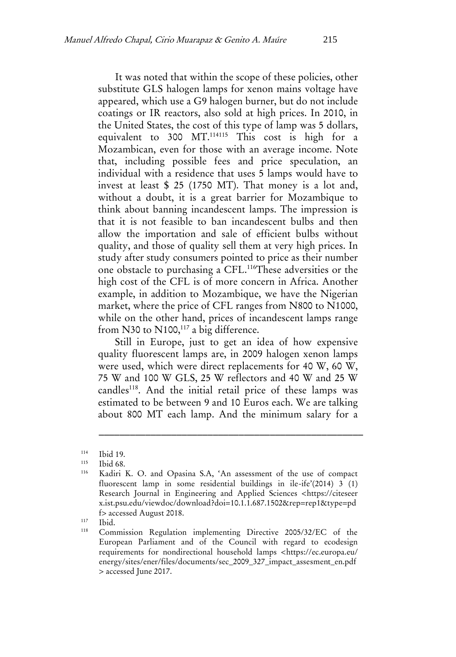It was noted that within the scope of these policies, other substitute GLS halogen lamps for xenon mains voltage have appeared, which use a G9 halogen burner, but do not include coatings or IR reactors, also sold at high prices. In 2010, in the United States, the cost of this type of lamp was 5 dollars, equivalent to 300 MT.<sup>114115</sup> This cost is high for a Mozambican, even for those with an average income. Note that, including possible fees and price speculation, an individual with a residence that uses 5 lamps would have to invest at least \$ 25 (1750 MT). That money is a lot and, without a doubt, it is a great barrier for Mozambique to think about banning incandescent lamps. The impression is that it is not feasible to ban incandescent bulbs and then allow the importation and sale of efficient bulbs without quality, and those of quality sell them at very high prices. In study after study consumers pointed to price as their number one obstacle to purchasing a CFL.<sup>116</sup>These adversities or the high cost of the CFL is of more concern in Africa. Another example, in addition to Mozambique, we have the Nigerian market, where the price of CFL ranges from N800 to N1000, while on the other hand, prices of incandescent lamps range from N30 to  $N100$ ,<sup>117</sup> a big difference.

Still in Europe, just to get an idea of how expensive quality fluorescent lamps are, in 2009 halogen xenon lamps were used, which were direct replacements for 40 W, 60 W, 75 W and 100 W GLS, 25 W reflectors and 40 W and 25 W candles<sup>118</sup>. And the initial retail price of these lamps was estimated to be between 9 and 10 Euros each. We are talking about 800 MT each lamp. And the minimum salary for a

\_\_\_\_\_\_\_\_\_\_\_\_\_\_\_\_\_\_\_\_\_\_\_\_\_\_\_\_\_\_\_\_\_\_\_\_\_\_\_\_\_\_\_\_\_\_\_\_\_\_\_

 $117$  Ibid.

 $114$  Ibid 19.

 $\frac{115}{116}$  Ibid 68.

Kadiri K. O. and Opasina S.A, 'An assessment of the use of compact fluorescent lamp in some residential buildings in ile-ife'(2014) 3 (1) Research Journal in Engineering and Applied Sciences <https://citeseer x.ist.psu.edu/viewdoc/download?doi=10.1.1.687.1502&rep=rep1&type=pd f> accessed August 2018.

Commission Regulation implementing Directive 2005/32/EC of the European Parliament and of the Council with regard to ecodesign requirements for nondirectional household lamps <https://ec.europa.eu/ energy/sites/ener/files/documents/sec\_2009\_327\_impact\_assesment\_en.pdf > accessed June 2017.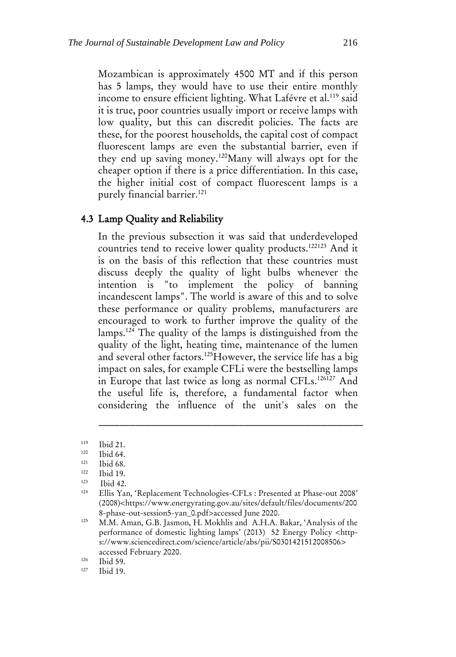Mozambican is approximately 4500 MT and if this person has 5 lamps, they would have to use their entire monthly income to ensure efficient lighting. What Lafévre et al.<sup>119</sup> said it is true, poor countries usually import or receive lamps with low quality, but this can discredit policies. The facts are these, for the poorest households, the capital cost of compact fluorescent lamps are even the substantial barrier, even if they end up saving money.<sup>120</sup>Many will always opt for the cheaper option if there is a price differentiation. In this case, the higher initial cost of compact fluorescent lamps is a purely financial barrier.<sup>121</sup>

#### 4.3 Lamp Quality and Reliability

In the previous subsection it was said that underdeveloped countries tend to receive lower quality products.<sup>122123</sup> And it is on the basis of this reflection that these countries must discuss deeply the quality of light bulbs whenever the intention is "to implement the policy of banning incandescent lamps". The world is aware of this and to solve these performance or quality problems, manufacturers are encouraged to work to further improve the quality of the lamps.<sup>124</sup> The quality of the lamps is distinguished from the quality of the light, heating time, maintenance of the lumen and several other factors.<sup>125</sup>However, the service life has a big impact on sales, for example CFLi were the bestselling lamps in Europe that last twice as long as normal CFLs.<sup>126127</sup> And the useful life is, therefore, a fundamental factor when considering the influence of the unit's sales on the

\_\_\_\_\_\_\_\_\_\_\_\_\_\_\_\_\_\_\_\_\_\_\_\_\_\_\_\_\_\_\_\_\_\_\_\_\_\_\_\_\_\_\_\_\_\_\_\_\_\_\_

 $126$  Ibid 59.

 $119$  Ibid 21.

 $120$  Ibid 64.

 $121$  Ibid 68.

**Ibid 19.** 

<sup>123</sup>  $\begin{array}{cc}\n \stackrel{123}{\phantom{0}}\n \stackrel{124}{\phantom{0}}\n \stackrel{124}{\phantom{0}}\n \stackrel{125}{\phantom{0}}\n \stackrel{126}{\phantom{0}}\n \stackrel{127}{\phantom{0}}\n \end{array}$ 

Ellis Yan, 'Replacement Technologies-CFLs : Presented at Phase-out 2008' (2008)<https://www.energyrating.gov.au/sites/default/files/documents/200 8-phase-out-session5-yan\_0.pdf>accessed June 2020.

<sup>125</sup> M.M. Aman, G.B. Jasmon, H. Mokhlis and A.H.A. Bakar, 'Analysis of the performance of domestic lighting lamps' (2013) 52 Energy Policy <https://www.sciencedirect.com/science/article/abs/pii/S0301421512008506> accessed February 2020.

Ibid 19.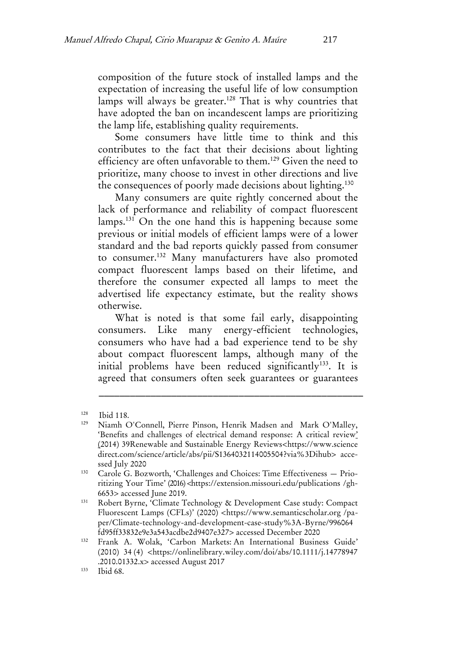composition of the future stock of installed lamps and the expectation of increasing the useful life of low consumption lamps will always be greater.<sup>128</sup> That is why countries that have adopted the ban on incandescent lamps are prioritizing the lamp life, establishing quality requirements.

Some consumers have little time to think and this contributes to the fact that their decisions about lighting efficiency are often unfavorable to them.<sup>129</sup> Given the need to prioritize, many choose to invest in other directions and live the consequences of poorly made decisions about lighting.<sup>130</sup>

Many consumers are quite rightly concerned about the lack of performance and reliability of compact fluorescent lamps.<sup>131</sup> On the one hand this is happening because some previous or initial models of efficient lamps were of a lower standard and the bad reports quickly passed from consumer to consumer.<sup>132</sup> Many manufacturers have also promoted compact fluorescent lamps based on their lifetime, and therefore the consumer expected all lamps to meet the advertised life expectancy estimate, but the reality shows otherwise.

What is noted is that some fail early, disappointing consumers. Like many energy-efficient technologies, consumers who have had a bad experience tend to be shy about compact fluorescent lamps, although many of the initial problems have been reduced significantly<sup>133</sup>. It is agreed that consumers often seek guarantees or guarantees

 $128$  Ibid 118.

Niamh O'Connell, Pierre Pinson, Henrik Madsen and Mark O'Malley, 'Benefits and challenges of electrical demand response: A critical review' (2014) [39Renewable and Sustainable Energy Reviews<](https://www.sciencedirect.com/science/journal/13640321/39/supp/C)https://www.science direct.com/science/article/abs/pii/S1364032114005504?via%3Dihub> accessed July 2020

<sup>130</sup> Carole G. Bozworth, 'Challenges and Choices: Time Effectiveness — Prioritizing Your Time' (2016) <https://extension.missouri.edu/publications /gh-6653> accessed June 2019.

<sup>131</sup> Robert Byrne, 'Climate Technology & Development Case study: Compact Fluorescent Lamps (CFLs)' (2020) <https://www.semanticscholar.org /paper/Climate-technology-and-development-case-study%3A-Byrne/996064 fd95ff33832e9e3a543acdbe2d9407e327> accessed December 2020

<sup>132</sup> Frank A. Wolak, 'Carbon Markets: An International Business Guide' (2010) [34](file:///C:/Users/damilola/Downloads/34 (4) (4) <https://onlinelibrary.wiley.com/doi/abs/10.1111/j.14778947 .2010.01332.x> accessed August 2017

<sup>133</sup> Ibid 68.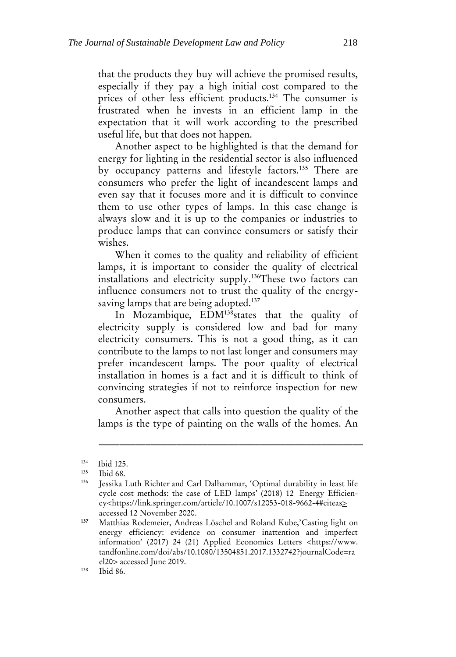that the products they buy will achieve the promised results, especially if they pay a high initial cost compared to the prices of other less efficient products.<sup>134</sup> The consumer is frustrated when he invests in an efficient lamp in the expectation that it will work according to the prescribed useful life, but that does not happen.

Another aspect to be highlighted is that the demand for energy for lighting in the residential sector is also influenced by occupancy patterns and lifestyle factors.<sup>135</sup> There are consumers who prefer the light of incandescent lamps and even say that it focuses more and it is difficult to convince them to use other types of lamps. In this case change is always slow and it is up to the companies or industries to produce lamps that can convince consumers or satisfy their wishes.

When it comes to the quality and reliability of efficient lamps, it is important to consider the quality of electrical installations and electricity supply.<sup>136</sup>These two factors can influence consumers not to trust the quality of the energysaving lamps that are being adopted.<sup>137</sup>

In Mozambique, EDM<sup>138</sup>states that the quality of electricity supply is considered low and bad for many electricity consumers. This is not a good thing, as it can contribute to the lamps to not last longer and consumers may prefer incandescent lamps. The poor quality of electrical installation in homes is a fact and it is difficult to think of convincing strategies if not to reinforce inspection for new consumers.

Another aspect that calls into question the quality of the lamps is the type of painting on the walls of the homes. An

 $134$  Ibid 125.

 $135$  Ibid 68.

<sup>136</sup> Jessika Luth Richter and Carl Dalhammar, 'Optimal durability in least life cycle cost methods: the case of LED lamps' (2018) 12 [Energy Efficien](https://link.springer.com/journal/12053)[cy<](https://link.springer.com/journal/12053)https://link.springer.com/article/10.1007/s12053-018-9662-4#citeas> accessed 12 November 2020.

<sup>137</sup> Matthias Rodemeier, Andreas Löschel and Roland Kube,'Casting light on energy efficiency: evidence on consumer inattention and imperfect information' (2017) 24 (21) Applied Economics Letters [<https://www.](https://www.tandfonline.com/doi/abs/10.1080/13504851.2017.1332742?journalCode=rael20) [tandfonline.com/doi/abs/10.1080/13504851.2017.1332742?journalCode=ra](https://www.tandfonline.com/doi/abs/10.1080/13504851.2017.1332742?journalCode=rael20) [el20>](https://www.tandfonline.com/doi/abs/10.1080/13504851.2017.1332742?journalCode=rael20) accessed June 2019.

<sup>138</sup> Ibid 86.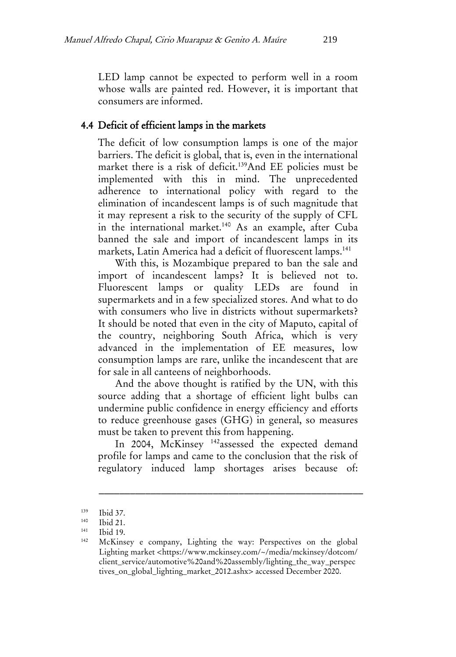LED lamp cannot be expected to perform well in a room whose walls are painted red. However, it is important that consumers are informed.

#### 4.4 Deficit of efficient lamps in the markets

The deficit of low consumption lamps is one of the major barriers. The deficit is global, that is, even in the international market there is a risk of deficit.<sup>139</sup>And EE policies must be implemented with this in mind. The unprecedented adherence to international policy with regard to the elimination of incandescent lamps is of such magnitude that it may represent a risk to the security of the supply of CFL in the international market.<sup>140</sup> As an example, after Cuba banned the sale and import of incandescent lamps in its markets, Latin America had a deficit of fluorescent lamps.<sup>141</sup>

With this, is Mozambique prepared to ban the sale and import of incandescent lamps? It is believed not to. Fluorescent lamps or quality LEDs are found in supermarkets and in a few specialized stores. And what to do with consumers who live in districts without supermarkets? It should be noted that even in the city of Maputo, capital of the country, neighboring South Africa, which is very advanced in the implementation of EE measures, low consumption lamps are rare, unlike the incandescent that are for sale in all canteens of neighborhoods.

And the above thought is ratified by the UN, with this source adding that a shortage of efficient light bulbs can undermine public confidence in energy efficiency and efforts to reduce greenhouse gases (GHG) in general, so measures must be taken to prevent this from happening.

In 2004, McKinsey<sup>142</sup>assessed the expected demand profile for lamps and came to the conclusion that the risk of regulatory induced lamp shortages arises because of:

 $139$  Ibid 37.

 $140$  Ibid 21.

Ibid 19.

<sup>142</sup> McKinsey e company, Lighting the way: Perspectives on the global Lighting market <https://www.mckinsey.com/~/media/mckinsey/dotcom/ client\_service/automotive%20and%20assembly/lighting\_the\_way\_perspec tives\_on\_global\_lighting\_market\_2012.ashx> accessed December 2020.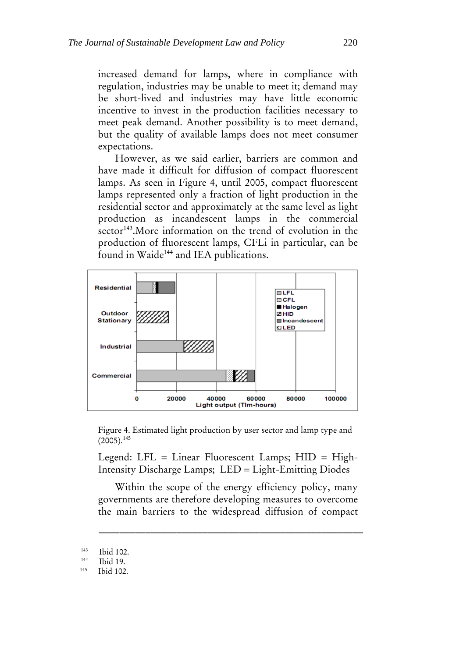increased demand for lamps, where in compliance with regulation, industries may be unable to meet it; demand may be short-lived and industries may have little economic incentive to invest in the production facilities necessary to meet peak demand. Another possibility is to meet demand, but the quality of available lamps does not meet consumer expectations.

However, as we said earlier, barriers are common and have made it difficult for diffusion of compact fluorescent lamps. As seen in Figure 4, until 2005, compact fluorescent lamps represented only a fraction of light production in the residential sector and approximately at the same level as light production as incandescent lamps in the commercial sector<sup>143</sup>. More information on the trend of evolution in the production of fluorescent lamps, CFLi in particular, can be found in Waide<sup>144</sup> and IEA publications.



Figure 4. Estimated light production by user sector and lamp type and  $(2005).^{145}$ 

Legend: LFL = Linear Fluorescent Lamps; HID = High-Intensity Discharge Lamps; LED = Light-Emitting Diodes

Within the scope of the energy efficiency policy, many governments are therefore developing measures to overcome the main barriers to the widespread diffusion of compact

 $\frac{143}{144}$  Ibid 102.

Ibid 19.

<sup>145</sup> Ibid 102.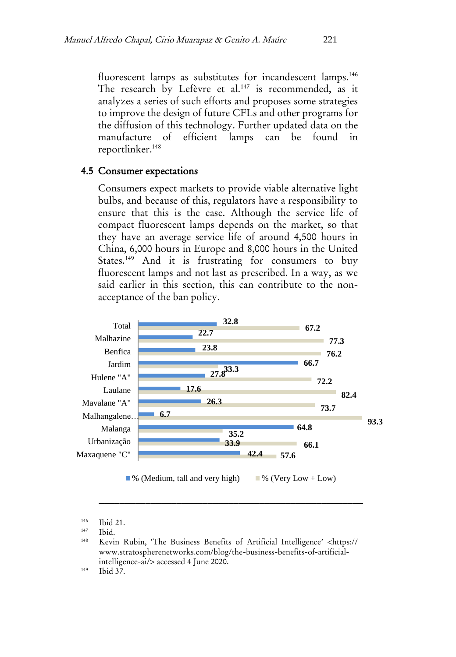fluorescent lamps as substitutes for incandescent lamps.<sup>146</sup> The research by Lefèvre et al.<sup>147</sup> is recommended, as it analyzes a series of such efforts and proposes some strategies to improve the design of future CFLs and other programs for the diffusion of this technology. Further updated data on the manufacture of efficient lamps can be found in reportlinker.<sup>148</sup>

#### 4.5 Consumer expectations

Consumers expect markets to provide viable alternative light bulbs, and because of this, regulators have a responsibility to ensure that this is the case. Although the service life of compact fluorescent lamps depends on the market, so that they have an average service life of around 4,500 hours in China, 6,000 hours in Europe and 8,000 hours in the United States.<sup>149</sup> And it is frustrating for consumers to buy fluorescent lamps and not last as prescribed. In a way, as we said earlier in this section, this can contribute to the nonacceptance of the ban policy.



 $146$  Ibid 21.

\_\_\_\_\_\_\_\_\_\_\_\_\_\_\_\_\_\_\_\_\_\_\_\_\_\_\_\_\_\_\_\_\_\_\_\_\_\_\_\_\_\_\_\_\_\_\_\_\_\_\_

<sup>149</sup> Ibid 37.

Ibid.

<sup>148</sup> Kevin Rubin, 'The Business Benefits of Artificial Intelligence' <https:// www.stratospherenetworks.com/blog/the-business-benefits-of-artificialintelligence-ai/> accessed 4 June 2020.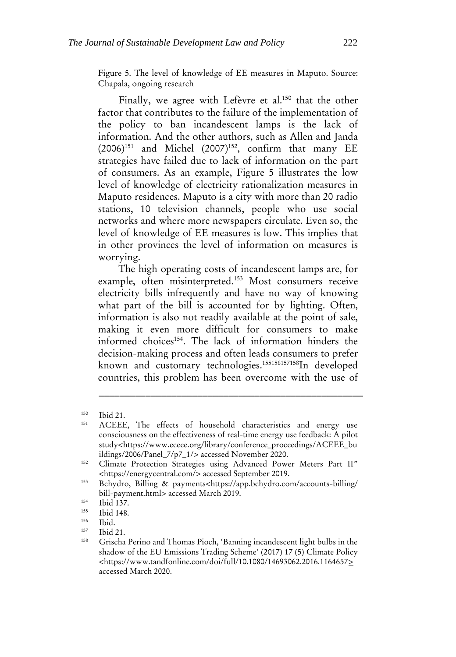Figure 5. The level of knowledge of EE measures in Maputo. Source: Chapala, ongoing research

Finally, we agree with Lefèvre et al.<sup>150</sup> that the other factor that contributes to the failure of the implementation of the policy to ban incandescent lamps is the lack of information. And the other authors, such as Allen and Janda  $(2006)^{151}$  and Michel  $(2007)^{152}$ , confirm that many EE strategies have failed due to lack of information on the part of consumers. As an example, Figure 5 illustrates the low level of knowledge of electricity rationalization measures in Maputo residences. Maputo is a city with more than 20 radio stations, 10 television channels, people who use social networks and where more newspapers circulate. Even so, the level of knowledge of EE measures is low. This implies that in other provinces the level of information on measures is worrying.

The high operating costs of incandescent lamps are, for example, often misinterpreted.<sup>153</sup> Most consumers receive electricity bills infrequently and have no way of knowing what part of the bill is accounted for by lighting. Often, information is also not readily available at the point of sale, making it even more difficult for consumers to make informed choices<sup>154</sup>. The lack of information hinders the decision-making process and often leads consumers to prefer known and customary technologies.<sup>155156157158</sup>In developed countries, this problem has been overcome with the use of

<sup>150</sup> Ibid 21.

<sup>151</sup> ACEEE, The effects of household characteristics and energy use consciousness on the effectiveness of real-time energy use feedback: A pilot study<https://www.eceee.org/library/conference\_proceedings/ACEEE\_bu ildings/2006/Panel\_7/p7\_1/> accessed November 2020.

<sup>&</sup>lt;sup>152</sup> Climate Protection Strategies using Advanced Power Meters Part II" <https://energycentral.com/> accessed September 2019.

<sup>153</sup> Bchydro, Billing & payments<https://app.bchydro.com/accounts-billing/ bill-payment.html> accessed March 2019.

 $154$  Ibid 137.

 $155$  Ibid 148.

 $\frac{156}{157}$  Ibid.

<sup>157</sup> Ibid 21.

<sup>158</sup> Grischa Perino and Thomas Pioch, 'Banning incandescent light bulbs in the shadow of the EU Emissions Trading Scheme' (2017) 17 (5) Climate Policy <https://www.tandfonline.com/doi/full/10.1080/14693062.2016.1164657> accessed March 2020.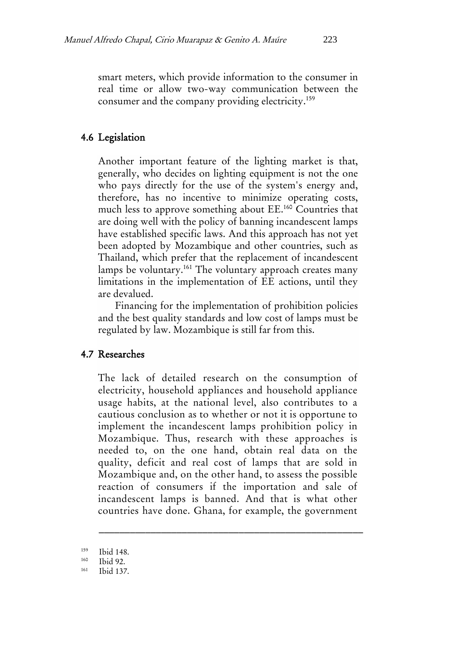smart meters, which provide information to the consumer in real time or allow two-way communication between the consumer and the company providing electricity.<sup>159</sup>

# 4.6 Legislation

Another important feature of the lighting market is that, generally, who decides on lighting equipment is not the one who pays directly for the use of the system's energy and, therefore, has no incentive to minimize operating costs, much less to approve something about EE.<sup>160</sup> Countries that are doing well with the policy of banning incandescent lamps have established specific laws. And this approach has not yet been adopted by Mozambique and other countries, such as Thailand, which prefer that the replacement of incandescent lamps be voluntary.<sup>161</sup> The voluntary approach creates many limitations in the implementation of EE actions, until they are devalued.

Financing for the implementation of prohibition policies and the best quality standards and low cost of lamps must be regulated by law. Mozambique is still far from this.

# 4.7 Researches

The lack of detailed research on the consumption of electricity, household appliances and household appliance usage habits, at the national level, also contributes to a cautious conclusion as to whether or not it is opportune to implement the incandescent lamps prohibition policy in Mozambique. Thus, research with these approaches is needed to, on the one hand, obtain real data on the quality, deficit and real cost of lamps that are sold in Mozambique and, on the other hand, to assess the possible reaction of consumers if the importation and sale of incandescent lamps is banned. And that is what other countries have done. Ghana, for example, the government

 $159$  Ibid 148.

 $160$  Ibid 92.

<sup>161</sup> Ibid 137.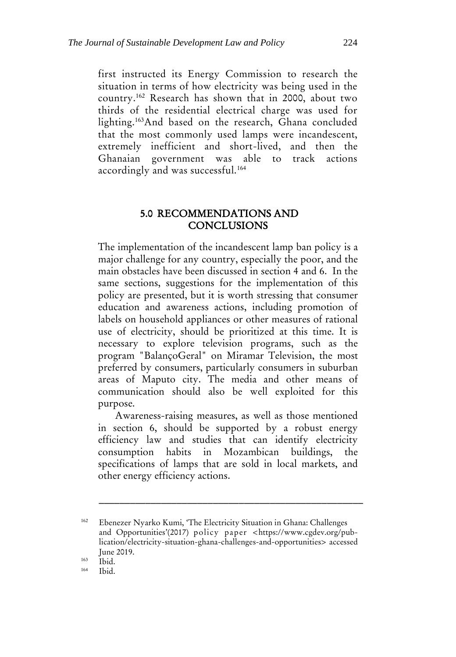first instructed its Energy Commission to research the situation in terms of how electricity was being used in the country.<sup>162</sup> Research has shown that in 2000, about two thirds of the residential electrical charge was used for lighting.<sup>163</sup>And based on the research, Ghana concluded that the most commonly used lamps were incandescent, extremely inefficient and short-lived, and then the Ghanaian government was able to track actions accordingly and was successful.<sup>164</sup>

#### 5.0 RECOMMENDATIONS AND **CONCLUSIONS**

The implementation of the incandescent lamp ban policy is a major challenge for any country, especially the poor, and the main obstacles have been discussed in section 4 and 6. In the same sections, suggestions for the implementation of this policy are presented, but it is worth stressing that consumer education and awareness actions, including promotion of labels on household appliances or other measures of rational use of electricity, should be prioritized at this time. It is necessary to explore television programs, such as the program "BalançoGeral" on Miramar Television, the most preferred by consumers, particularly consumers in suburban areas of Maputo city. The media and other means of communication should also be well exploited for this purpose.

Awareness-raising measures, as well as those mentioned in section 6, should be supported by a robust energy efficiency law and studies that can identify electricity consumption habits in Mozambican buildings, the specifications of lamps that are sold in local markets, and other energy efficiency actions.

<sup>162</sup> Ebenezer Nyarko Kumi, 'The Electricity Situation in Ghana: Challenges and Opportunities'(2017) policy paper <https://www.cgdev.org/publication/electricity-situation-ghana-challenges-and-opportunities> accessed June 2019.

 $\frac{163}{164}$  Ibid.

Ibid.